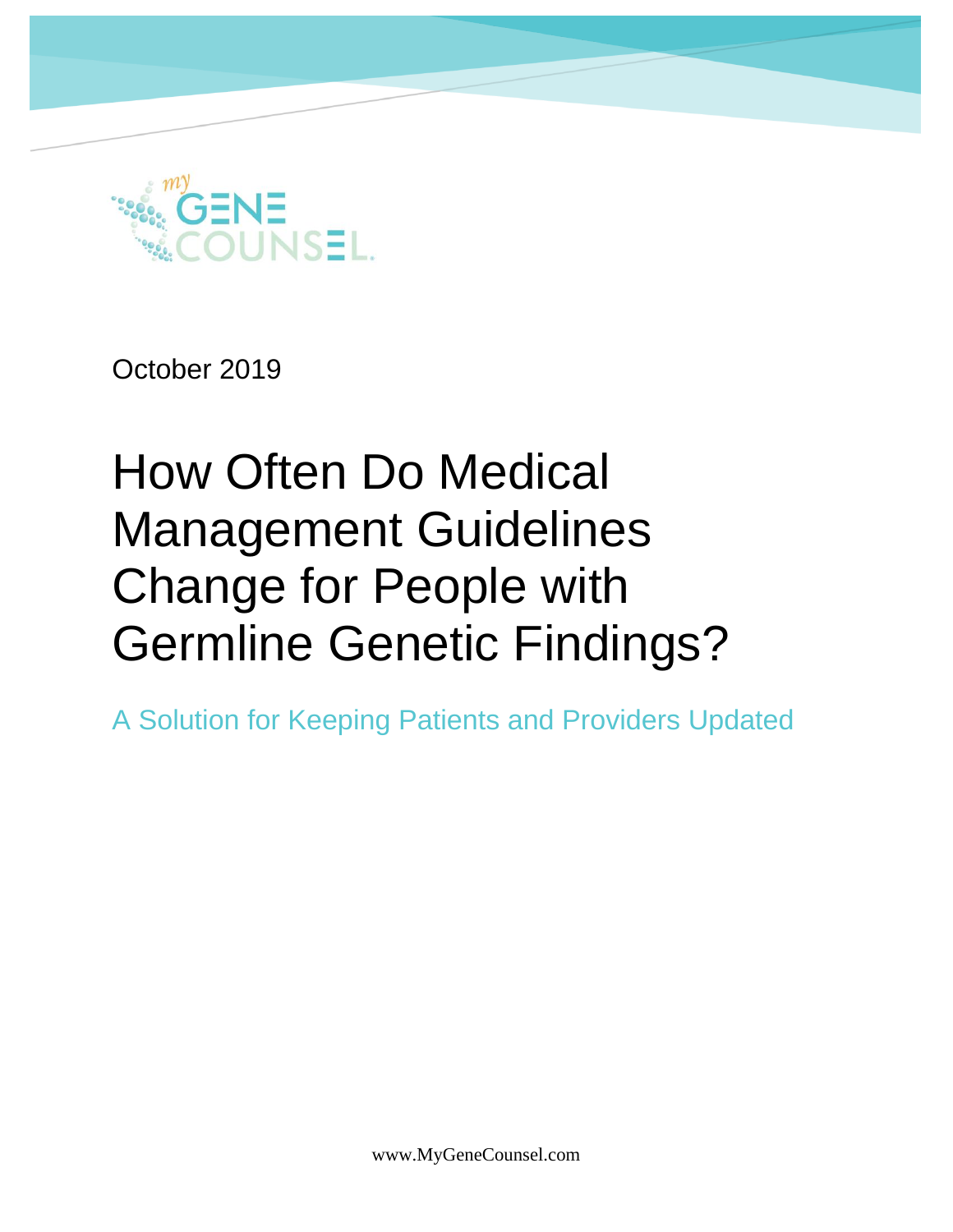

October 2019

# How Often Do Medical Management Guidelines Change for People with Germline Genetic Findings?

A Solution for Keeping Patients and Providers Updated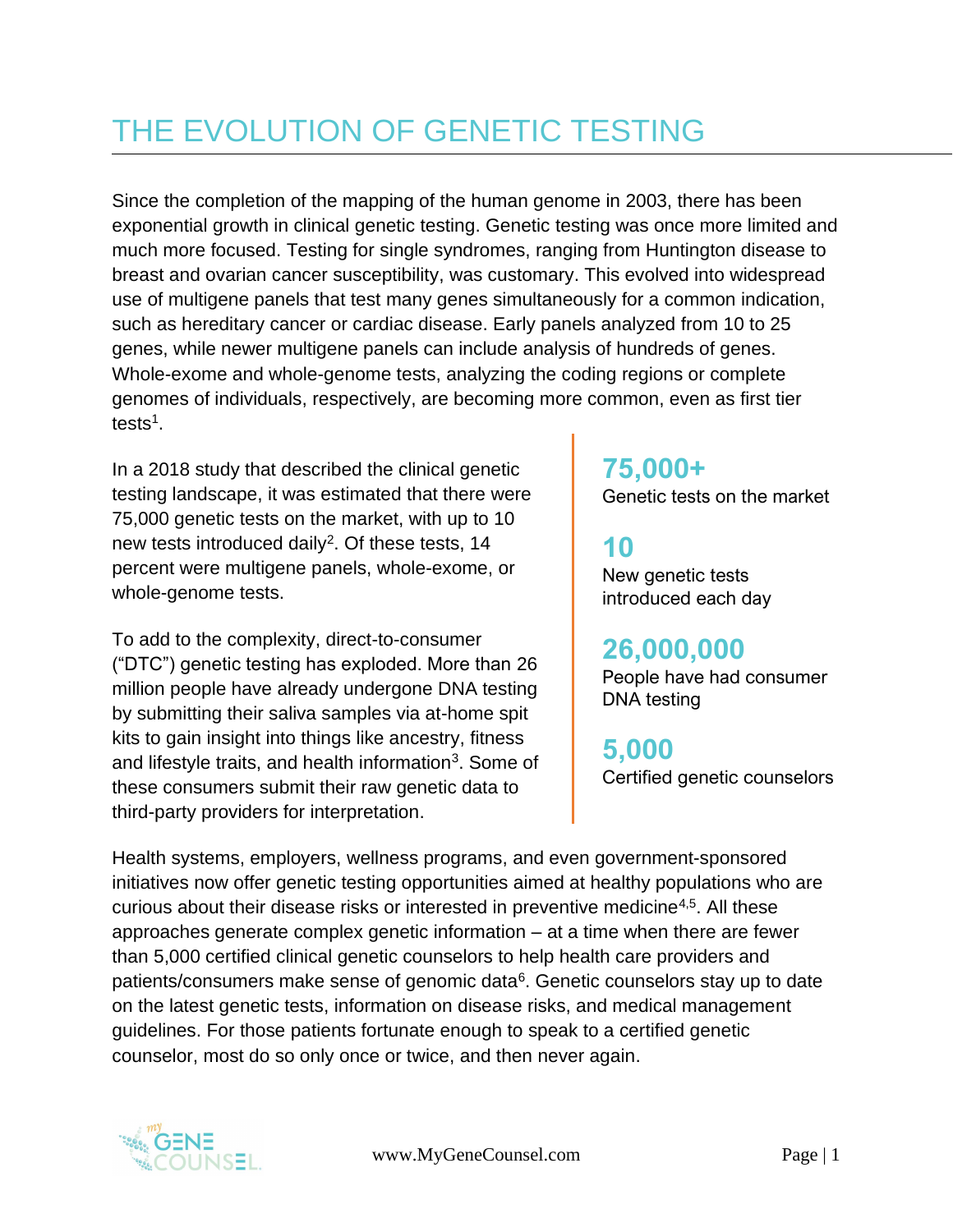### THE EVOLUTION OF GENETIC TESTING

Since the completion of the mapping of the human genome in 2003, there has been exponential growth in clinical genetic testing. Genetic testing was once more limited and much more focused. Testing for single syndromes, ranging from Huntington disease to breast and ovarian cancer susceptibility, was customary. This evolved into widespread use of multigene panels that test many genes simultaneously for a common indication, such as hereditary cancer or cardiac disease. Early panels analyzed from 10 to 25 genes, while newer multigene panels can include analysis of hundreds of genes. Whole-exome and whole-genome tests, analyzing the coding regions or complete genomes of individuals, respectively, are becoming more common, even as first tier tests<sup>1</sup>.

In a 2018 study that described the clinical genetic testing landscape, it was estimated that there were 75,000 genetic tests on the market, with up to 10 new tests introduced daily<sup>2</sup>. Of these tests,  $14$ percent were multigene panels, whole-exome, or whole-genome tests.

To add to the complexity, direct-to-consumer ("DTC") genetic testing has exploded. More than 26 million people have already undergone DNA testing by submitting their saliva samples via at-home spit kits to gain insight into things like ancestry, fitness and lifestyle traits, and health information<sup>3</sup>. Some of these consumers submit their raw genetic data to third-party providers for interpretation.

### **75,000+**

Genetic tests on the market

#### **10**

New genetic tests introduced each day

**26,000,000** People have had consumer DNA testing

**5,000** Certified genetic counselors

Health systems, employers, wellness programs, and even government-sponsored initiatives now offer genetic testing opportunities aimed at healthy populations who are curious about their disease risks or interested in preventive medicine4,5. All these approaches generate complex genetic information – at a time when there are fewer than 5,000 certified clinical genetic counselors to help health care providers and patients/consumers make sense of genomic data<sup>6</sup>. Genetic counselors stay up to date on the latest genetic tests, information on disease risks, and medical management guidelines. For those patients fortunate enough to speak to a certified genetic counselor, most do so only once or twice, and then never again.

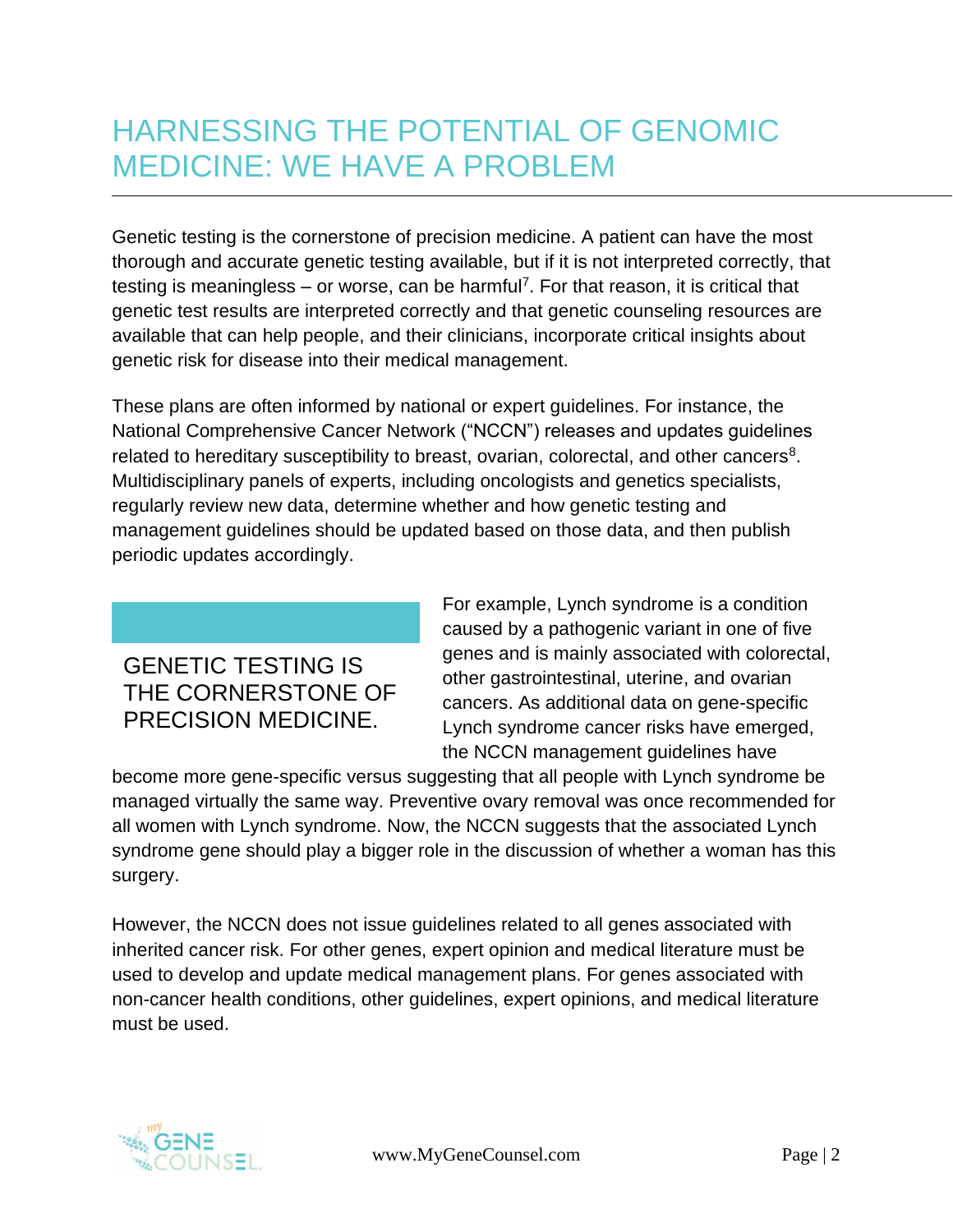### HARNESSING THE POTENTIAL OF GENOMIC MEDICINE: WE HAVE A PROBLEM

Genetic testing is the cornerstone of precision medicine. A patient can have the most thorough and accurate genetic testing available, but if it is not interpreted correctly, that testing is meaningless – or worse, can be harmful<sup>7</sup>. For that reason, it is critical that genetic test results are interpreted correctly and that genetic counseling resources are available that can help people, and their clinicians, incorporate critical insights about genetic risk for disease into their medical management.

These plans are often informed by national or expert guidelines. For instance, the National Comprehensive Cancer Network ("NCCN") releases and updates guidelines related to hereditary susceptibility to breast, ovarian, colorectal, and other cancers<sup>8</sup>. Multidisciplinary panels of experts, including oncologists and genetics specialists, regularly review new data, determine whether and how genetic testing and management guidelines should be updated based on those data, and then publish periodic updates accordingly.

#### GENETIC TESTING IS THE CORNERSTONE OF PRECISION MEDICINE.

For example, Lynch syndrome is a condition caused by a pathogenic variant in one of five genes and is mainly associated with colorectal, other gastrointestinal, uterine, and ovarian cancers. As additional data on gene-specific Lynch syndrome cancer risks have emerged, the NCCN management guidelines have

become more gene-specific versus suggesting that all people with Lynch syndrome be managed virtually the same way. Preventive ovary removal was once recommended for all women with Lynch syndrome. Now, the NCCN suggests that the associated Lynch syndrome gene should play a bigger role in the discussion of whether a woman has this surgery.

However, the NCCN does not issue guidelines related to all genes associated with inherited cancer risk. For other genes, expert opinion and medical literature must be used to develop and update medical management plans. For genes associated with non-cancer health conditions, other guidelines, expert opinions, and medical literature must be used.

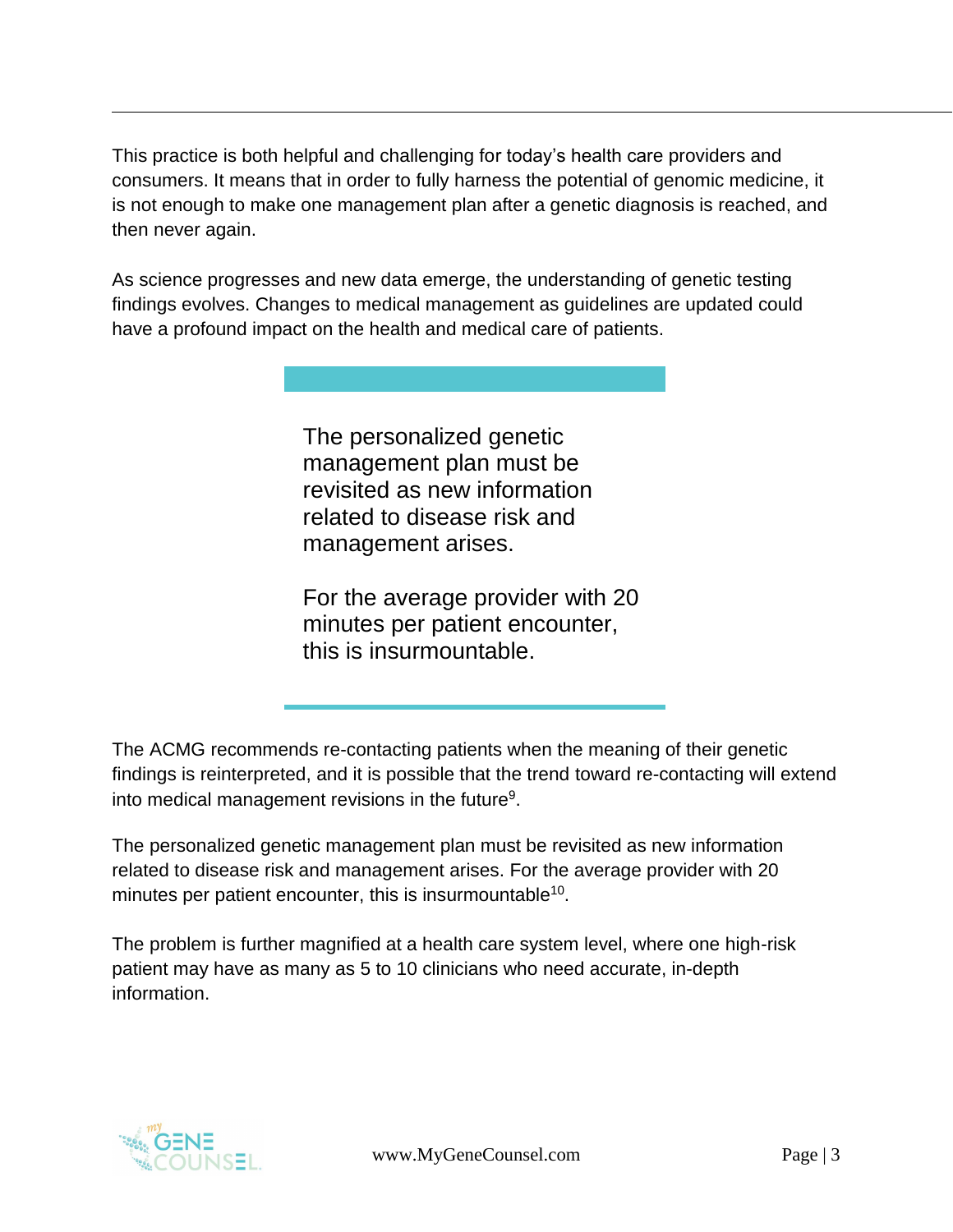This practice is both helpful and challenging for today's health care providers and consumers. It means that in order to fully harness the potential of genomic medicine, it is not enough to make one management plan after a genetic diagnosis is reached, and then never again.

As science progresses and new data emerge, the understanding of genetic testing findings evolves. Changes to medical management as guidelines are updated could have a profound impact on the health and medical care of patients.

> The personalized genetic management plan must be revisited as new information related to disease risk and management arises.

For the average provider with 20 minutes per patient encounter, this is insurmountable.

The ACMG recommends re-contacting patients when the meaning of their genetic findings is reinterpreted, and it is possible that the trend toward re-contacting will extend into medical management revisions in the future<sup>9</sup>.

The personalized genetic management plan must be revisited as new information related to disease risk and management arises. For the average provider with 20 minutes per patient encounter, this is insurmountable<sup>10</sup>.

The problem is further magnified at a health care system level, where one high-risk patient may have as many as 5 to 10 clinicians who need accurate, in-depth information.

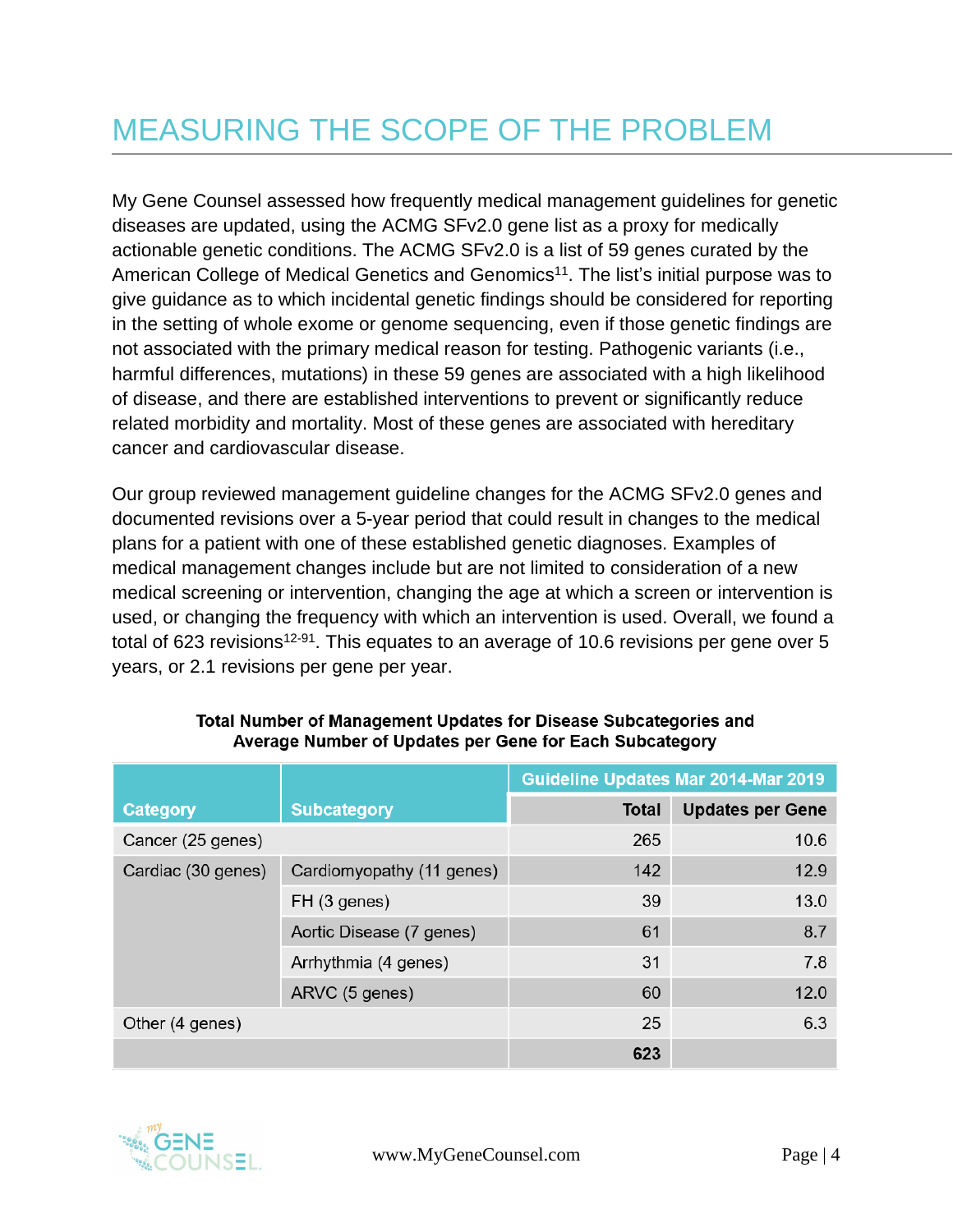### MEASURING THE SCOPE OF THE PROBLEM

My Gene Counsel assessed how frequently medical management guidelines for genetic diseases are updated, using the ACMG SFv2.0 gene list as a proxy for medically actionable genetic conditions. The ACMG SFv2.0 is a list of 59 genes curated by the American College of Medical Genetics and Genomics<sup>11</sup>. The list's initial purpose was to give guidance as to which incidental genetic findings should be considered for reporting in the setting of whole exome or genome sequencing, even if those genetic findings are not associated with the primary medical reason for testing. Pathogenic variants (i.e., harmful differences, mutations) in these 59 genes are associated with a high likelihood of disease, and there are established interventions to prevent or significantly reduce related morbidity and mortality. Most of these genes are associated with hereditary cancer and cardiovascular disease.

Our group reviewed management guideline changes for the ACMG SFv2.0 genes and documented revisions over a 5-year period that could result in changes to the medical plans for a patient with one of these established genetic diagnoses. Examples of medical management changes include but are not limited to consideration of a new medical screening or intervention, changing the age at which a screen or intervention is used, or changing the frequency with which an intervention is used. Overall, we found a total of 623 revisions<sup>12-91</sup>. This equates to an average of 10.6 revisions per gene over 5 years, or 2.1 revisions per gene per year.

|                    |                           | Guideline Updates Mar 2014-Mar 2019 |                         |
|--------------------|---------------------------|-------------------------------------|-------------------------|
| <b>Category</b>    | <b>Subcategory</b>        | <b>Total</b>                        | <b>Updates per Gene</b> |
| Cancer (25 genes)  |                           | 265                                 | 10.6                    |
| Cardiac (30 genes) | Cardiomyopathy (11 genes) | 142                                 | 12.9                    |
|                    | FH (3 genes)              | 39                                  | 13.0                    |
|                    | Aortic Disease (7 genes)  | 61                                  | 8.7                     |
|                    | Arrhythmia (4 genes)      | 31                                  | 7.8                     |
|                    | ARVC (5 genes)            | 60                                  | 12.0                    |
| Other (4 genes)    |                           | 25                                  | 6.3                     |
|                    |                           | 623                                 |                         |

#### Total Number of Management Updates for Disease Subcategories and Average Number of Updates per Gene for Each Subcategory

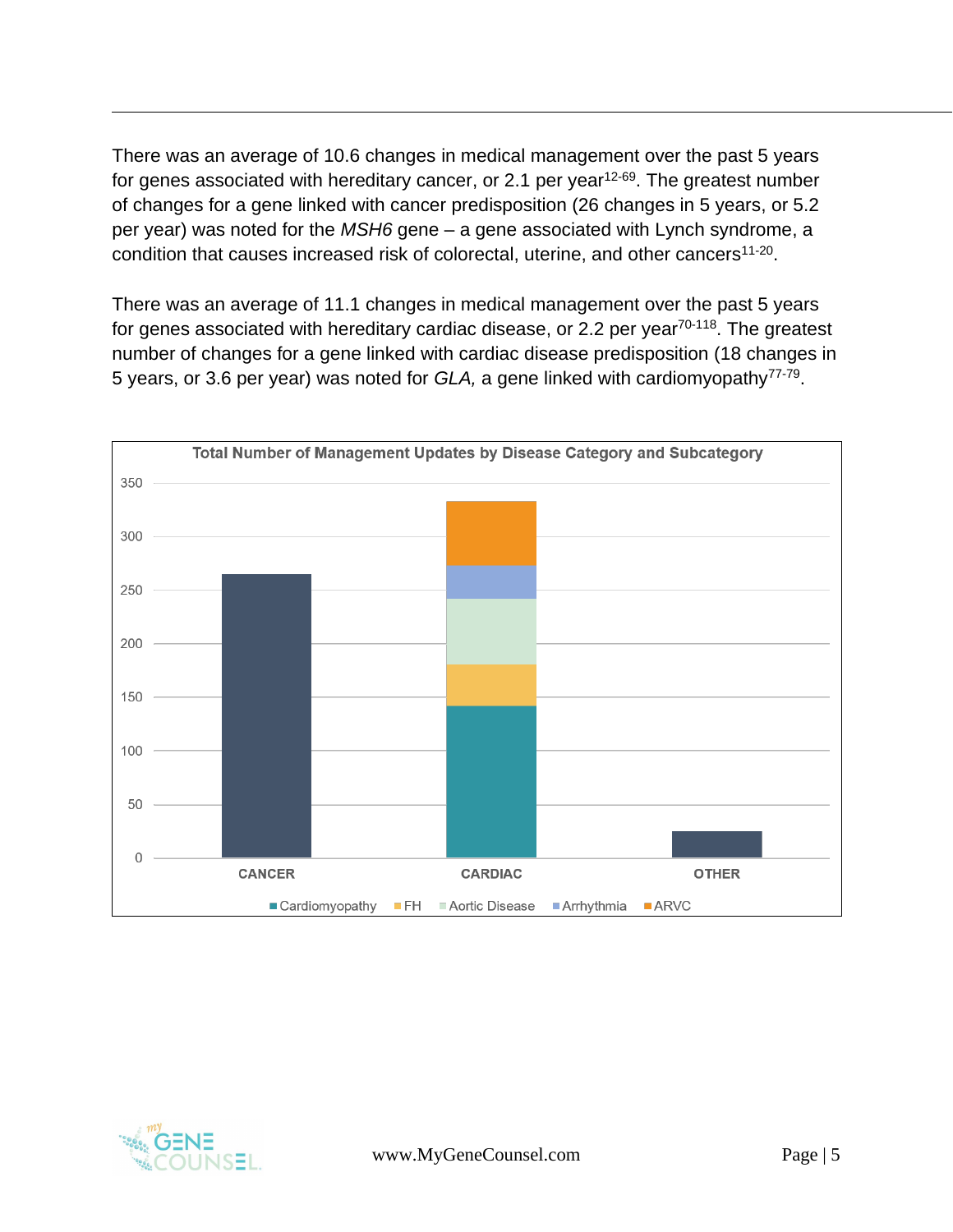There was an average of 10.6 changes in medical management over the past 5 years for genes associated with hereditary cancer, or 2.1 per year<sup>12-69</sup>. The greatest number of changes for a gene linked with cancer predisposition (26 changes in 5 years, or 5.2 per year) was noted for the *MSH6* gene – a gene associated with Lynch syndrome, a condition that causes increased risk of colorectal, uterine, and other cancers<sup>11-20</sup>.

There was an average of 11.1 changes in medical management over the past 5 years for genes associated with hereditary cardiac disease, or 2.2 per year<sup>70-118</sup>. The greatest number of changes for a gene linked with cardiac disease predisposition (18 changes in 5 years, or 3.6 per year) was noted for *GLA*, a gene linked with cardiomyopathy<sup>77-79</sup>.



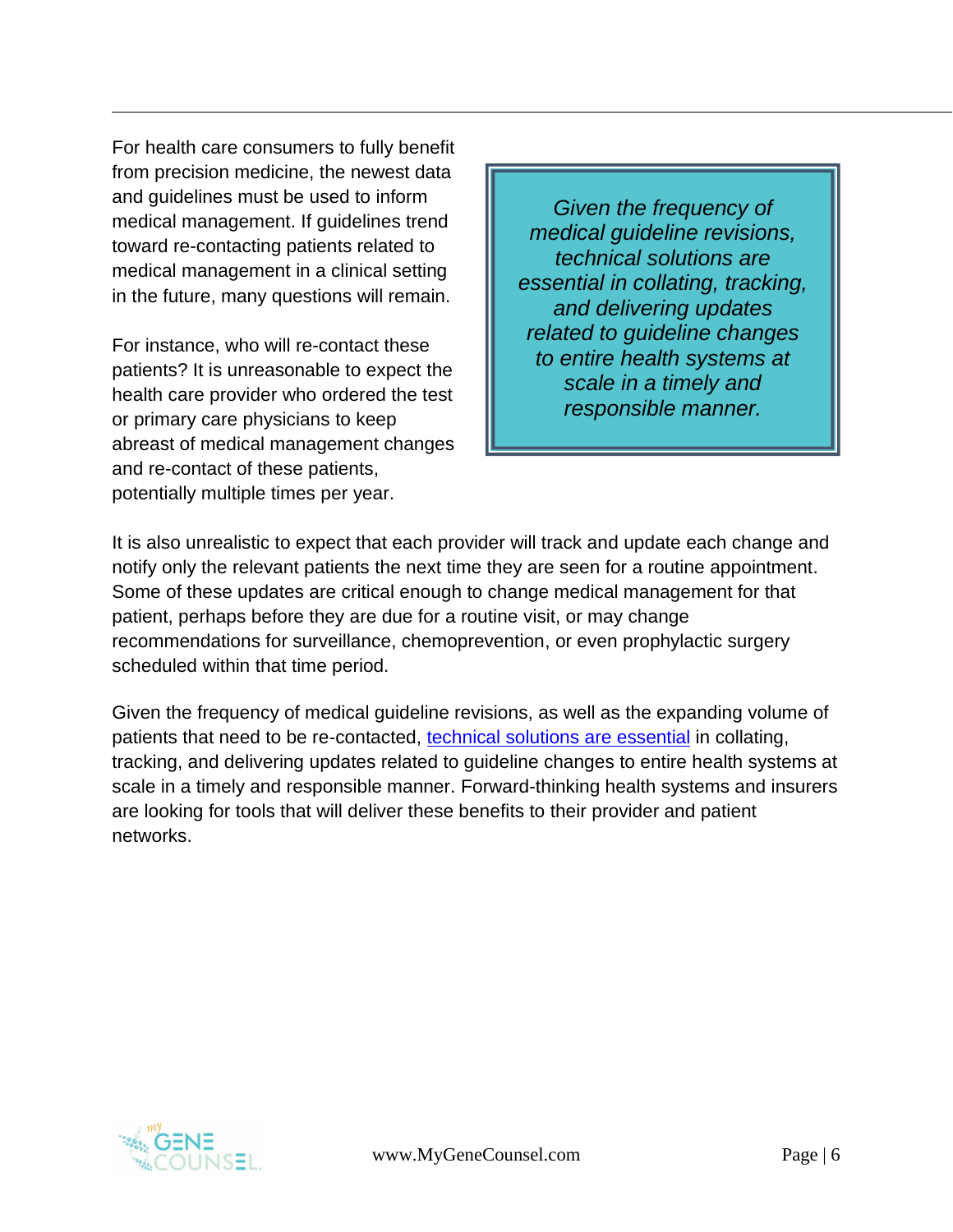For health care consumers to fully benefit from precision medicine, the newest data and guidelines must be used to inform medical management. If guidelines trend toward re-contacting patients related to medical management in a clinical setting in the future, many questions will remain.

For instance, who will re-contact these patients? It is unreasonable to expect the health care provider who ordered the test or primary care physicians to keep abreast of medical management changes and re-contact of these patients, potentially multiple times per year.

*Given the frequency of medical guideline revisions, technical solutions are essential in collating, tracking, and delivering updates related to guideline changes to entire health systems at scale in a timely and responsible manner.*

It is also unrealistic to expect that each provider will track and update each change and notify only the relevant patients the next time they are seen for a routine appointment. Some of these updates are critical enough to change medical management for that patient, perhaps before they are due for a routine visit, or may change recommendations for surveillance, chemoprevention, or even prophylactic surgery scheduled within that time period.

Given the frequency of medical guideline revisions, as well as the expanding volume of patients that need to be re-contacted, [technical solutions are essential](http://www.mygenecounsel.com/) in collating, tracking, and delivering updates related to guideline changes to entire health systems at scale in a timely and responsible manner. Forward-thinking health systems and insurers are looking for tools that will deliver these benefits to their provider and patient networks.

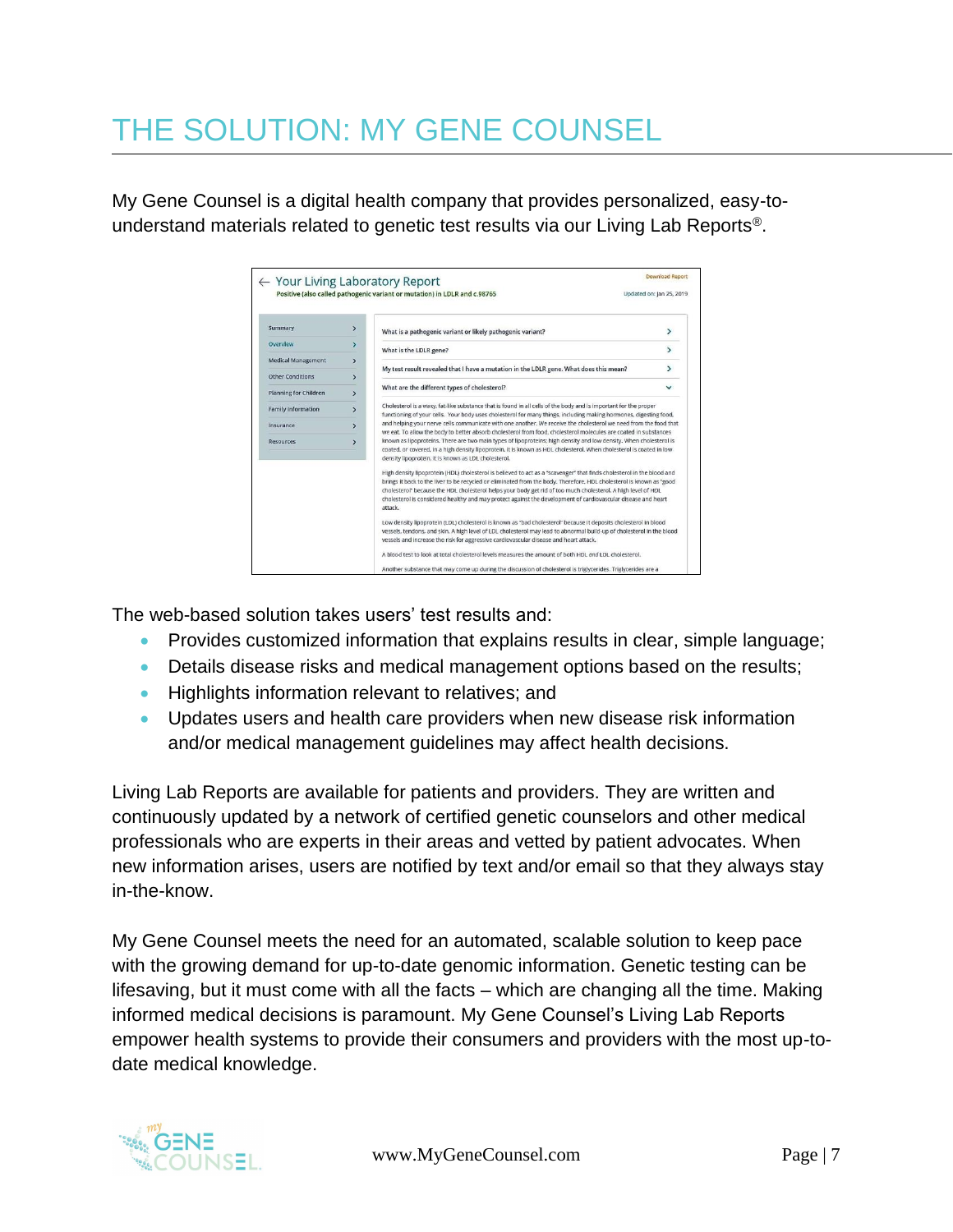## THE SOLUTION: MY GENE COUNSEL

My Gene Counsel is a digital health company that provides personalized, easy-tounderstand materials related to genetic test results via our Living Lab Reports®.

|                              |               | ← Your Living Laboratory Report                                                                                                                                                                                                                                                                                                                                                                                                                                                             | <b>Download Report</b>   |
|------------------------------|---------------|---------------------------------------------------------------------------------------------------------------------------------------------------------------------------------------------------------------------------------------------------------------------------------------------------------------------------------------------------------------------------------------------------------------------------------------------------------------------------------------------|--------------------------|
|                              |               | Positive (also called pathogenic variant or mutation) in LDLR and c.98765                                                                                                                                                                                                                                                                                                                                                                                                                   | Updated on: Jan 25, 2019 |
| Summary                      | $\mathcal{P}$ | What is a pathogenic variant or likely pathogenic variant?                                                                                                                                                                                                                                                                                                                                                                                                                                  | ⋗                        |
| Overview                     | $\rightarrow$ | What is the LDLR gene?                                                                                                                                                                                                                                                                                                                                                                                                                                                                      | $\mathbf{r}$             |
| <b>Medical Management</b>    | $\rightarrow$ | My test result revealed that I have a mutation in the LDLR gene. What does this mean?                                                                                                                                                                                                                                                                                                                                                                                                       | $\overline{ }$           |
| <b>Other Conditions</b>      | $\rightarrow$ |                                                                                                                                                                                                                                                                                                                                                                                                                                                                                             |                          |
| <b>Planning for Children</b> | $\rightarrow$ | What are the different types of cholesterol?                                                                                                                                                                                                                                                                                                                                                                                                                                                | $\checkmark$             |
| <b>Family Information</b>    | $\rightarrow$ | Cholesterol is a waxy, fat-like substance that is found in all cells of the body and is important for the proper<br>functioning of your cells. Your body uses cholesterol for many things, including making hormones, digesting food,                                                                                                                                                                                                                                                       |                          |
| Insurance                    | $\mathcal{P}$ | and helping your nerve cells communicate with one another. We receive the cholesterol we need from the food that<br>we eat. To allow the body to better absorb cholesterol from food, cholesterol molecules are coated in substances                                                                                                                                                                                                                                                        |                          |
| <b>Resources</b>             | $\rightarrow$ | known as lipoproteins. There are two main types of lipoproteins; high density and low density. When cholesterol is<br>coated, or covered, in a high density lipoprotein, it is known as HDL cholesterol. When cholesterol is coated in low<br>density lipoprotein, it is known as LDL cholesterol.                                                                                                                                                                                          |                          |
|                              |               | High density lipoprotein (HDL) cholesterol is believed to act as a "scavenger" that finds cholesterol in the blood and<br>brings it back to the liver to be recycled or eliminated from the body. Therefore, HDL cholesterol is known as "good<br>cholesterol" because the HDL cholesterol helps your body get rid of too much cholesterol. A high level of HDL<br>cholesterol is considered healthy and may protect against the development of cardiovascular disease and heart<br>attack. |                          |
|                              |               | Low density lipoprotein (LDL) cholesterol is known as "bad cholesterol" because it deposits cholesterol in blood<br>vessels, tendons, and skin. A high level of LDL cholesterol may lead to abnormal build-up of cholesterol in the blood<br>vessels and increase the risk for aggressive cardiovascular disease and heart attack.                                                                                                                                                          |                          |
|                              |               | A blood test to look at total cholesterol levels measures the amount of both HDL and LDL cholesterol.                                                                                                                                                                                                                                                                                                                                                                                       |                          |
|                              |               | Another substance that may come up during the discussion of cholesterol is triglycerides. Triglycerides are a                                                                                                                                                                                                                                                                                                                                                                               |                          |

The web-based solution takes users' test results and:

- Provides customized information that explains results in clear, simple language;
- Details disease risks and medical management options based on the results;
- Highlights information relevant to relatives; and
- Updates users and health care providers when new disease risk information and/or medical management guidelines may affect health decisions.

Living Lab Reports are available for patients and providers. They are written and continuously updated by a network of certified genetic counselors and other medical professionals who are experts in their areas and vetted by patient advocates. When new information arises, users are notified by text and/or email so that they always stay in-the-know.

My Gene Counsel meets the need for an automated, scalable solution to keep pace with the growing demand for up-to-date genomic information. Genetic testing can be lifesaving, but it must come with all the facts – which are changing all the time. Making informed medical decisions is paramount. My Gene Counsel's Living Lab Reports empower health systems to provide their consumers and providers with the most up-todate medical knowledge.

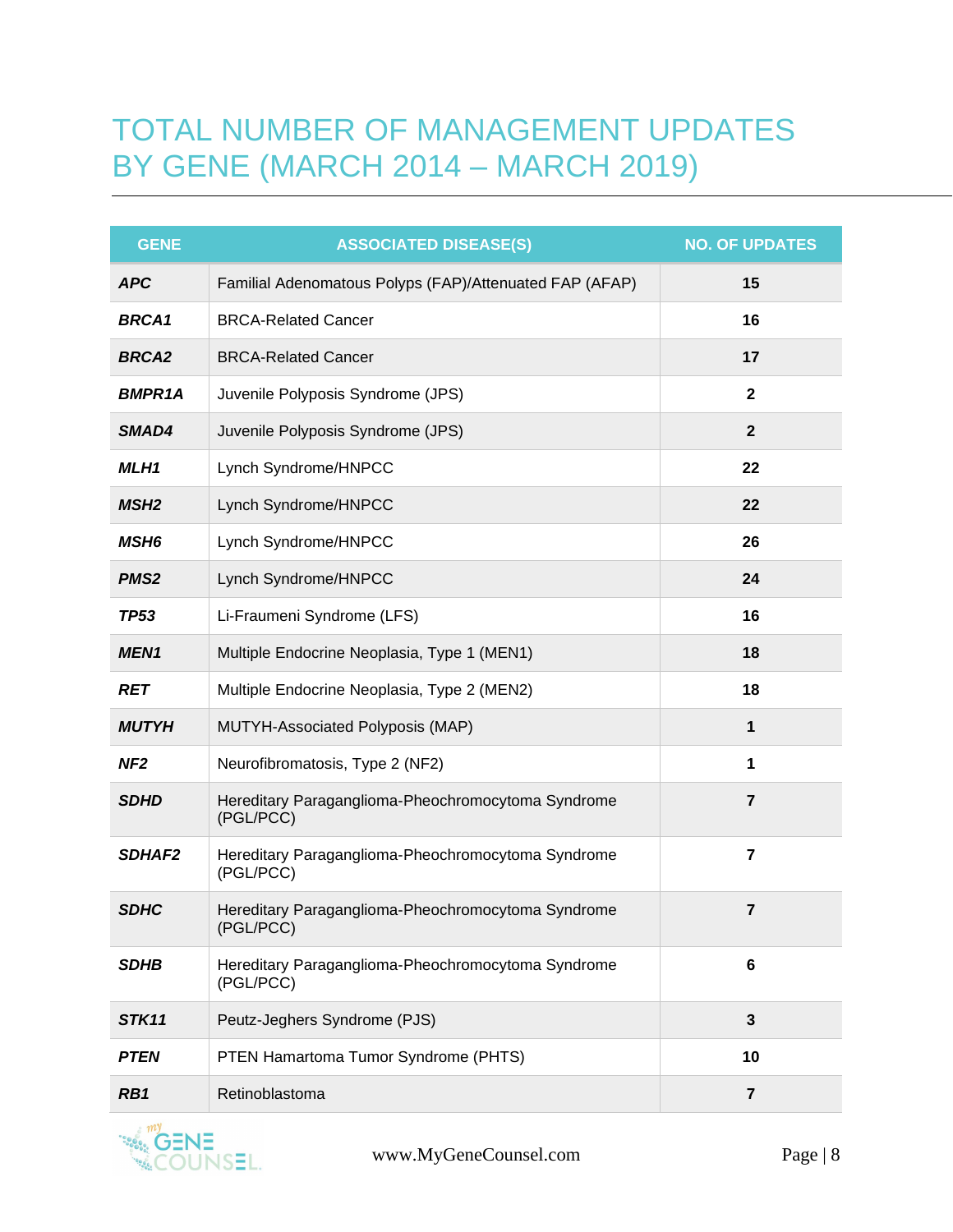### TOTAL NUMBER OF MANAGEMENT UPDATES BY GENE (MARCH 2014 – MARCH 2019)

| <b>GENE</b>      | <b>ASSOCIATED DISEASE(S)</b>                                    | <b>NO. OF UPDATES</b> |
|------------------|-----------------------------------------------------------------|-----------------------|
| <b>APC</b>       | Familial Adenomatous Polyps (FAP)/Attenuated FAP (AFAP)         | 15                    |
| <b>BRCA1</b>     | <b>BRCA-Related Cancer</b>                                      | 16                    |
| <b>BRCA2</b>     | <b>BRCA-Related Cancer</b>                                      | 17                    |
| <b>BMPR1A</b>    | Juvenile Polyposis Syndrome (JPS)                               | $\mathbf{2}$          |
| SMAD4            | Juvenile Polyposis Syndrome (JPS)                               | $\overline{2}$        |
| MLH1             | Lynch Syndrome/HNPCC                                            | 22                    |
| MSH <sub>2</sub> | Lynch Syndrome/HNPCC                                            | 22                    |
| <b>MSH6</b>      | Lynch Syndrome/HNPCC                                            | 26                    |
| <b>PMS2</b>      | Lynch Syndrome/HNPCC                                            | 24                    |
| <b>TP53</b>      | Li-Fraumeni Syndrome (LFS)                                      | 16                    |
| <b>MEN1</b>      | Multiple Endocrine Neoplasia, Type 1 (MEN1)                     | 18                    |
| RET              | Multiple Endocrine Neoplasia, Type 2 (MEN2)                     | 18                    |
| <b>MUTYH</b>     | MUTYH-Associated Polyposis (MAP)                                | 1                     |
| NF <sub>2</sub>  | Neurofibromatosis, Type 2 (NF2)                                 | 1                     |
| <b>SDHD</b>      | Hereditary Paraganglioma-Pheochromocytoma Syndrome<br>(PGL/PCC) | $\overline{7}$        |
| <b>SDHAF2</b>    | Hereditary Paraganglioma-Pheochromocytoma Syndrome<br>(PGL/PCC) | $\overline{7}$        |
| <b>SDHC</b>      | Hereditary Paraganglioma-Pheochromocytoma Syndrome<br>(PGL/PCC) | $\overline{7}$        |
| <b>SDHB</b>      | Hereditary Paraganglioma-Pheochromocytoma Syndrome<br>(PGL/PCC) | 6                     |
| STK11            | Peutz-Jeghers Syndrome (PJS)                                    | $\mathbf{3}$          |
| <b>PTEN</b>      | PTEN Hamartoma Tumor Syndrome (PHTS)                            | 10                    |
| RB1              | Retinoblastoma                                                  | $\overline{7}$        |

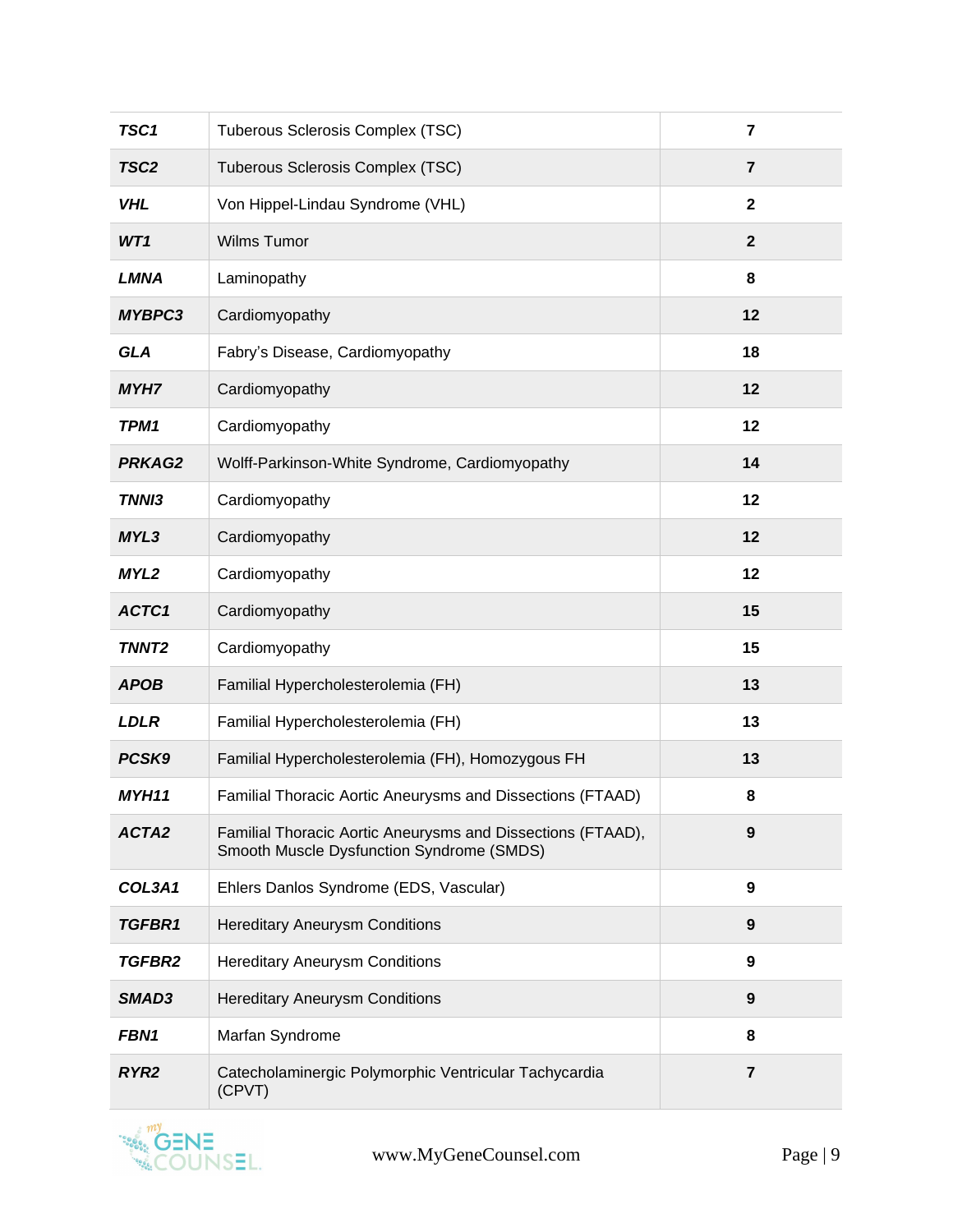| TSC1             | Tuberous Sclerosis Complex (TSC)                                                                         | $\overline{7}$   |
|------------------|----------------------------------------------------------------------------------------------------------|------------------|
| TSC <sub>2</sub> | Tuberous Sclerosis Complex (TSC)                                                                         | $\overline{7}$   |
| <b>VHL</b>       | Von Hippel-Lindau Syndrome (VHL)                                                                         | $\mathbf{2}$     |
| WT1              | Wilms Tumor                                                                                              | $\mathbf{2}$     |
| <b>LMNA</b>      | Laminopathy                                                                                              | 8                |
| <b>MYBPC3</b>    | Cardiomyopathy                                                                                           | 12               |
| <b>GLA</b>       | Fabry's Disease, Cardiomyopathy                                                                          | 18               |
| <b>MYH7</b>      | Cardiomyopathy                                                                                           | 12               |
| TPM1             | Cardiomyopathy                                                                                           | 12               |
| <b>PRKAG2</b>    | Wolff-Parkinson-White Syndrome, Cardiomyopathy                                                           | 14               |
| TNNI3            | Cardiomyopathy                                                                                           | 12               |
| MYL3             | Cardiomyopathy                                                                                           | 12               |
| MYL2             | Cardiomyopathy                                                                                           | 12               |
| ACTC1            | Cardiomyopathy                                                                                           | 15               |
| <b>TNNT2</b>     | Cardiomyopathy                                                                                           | 15               |
| <b>APOB</b>      | Familial Hypercholesterolemia (FH)                                                                       | 13               |
| <b>LDLR</b>      | Familial Hypercholesterolemia (FH)                                                                       | 13               |
| PCSK9            | Familial Hypercholesterolemia (FH), Homozygous FH                                                        | 13               |
| MYH11            | Familial Thoracic Aortic Aneurysms and Dissections (FTAAD)                                               | 8                |
| ACTA2            | Familial Thoracic Aortic Aneurysms and Dissections (FTAAD),<br>Smooth Muscle Dysfunction Syndrome (SMDS) | 9                |
| COL3A1           | Ehlers Danlos Syndrome (EDS, Vascular)                                                                   | 9                |
| TGFBR1           | <b>Hereditary Aneurysm Conditions</b>                                                                    | $\boldsymbol{9}$ |
| <b>TGFBR2</b>    | <b>Hereditary Aneurysm Conditions</b>                                                                    | 9                |
| SMAD3            | <b>Hereditary Aneurysm Conditions</b>                                                                    | $\boldsymbol{9}$ |
| <b>FBN1</b>      | Marfan Syndrome                                                                                          | 8                |
| RYR <sub>2</sub> | Catecholaminergic Polymorphic Ventricular Tachycardia<br>(CPVT)                                          | $\overline{7}$   |

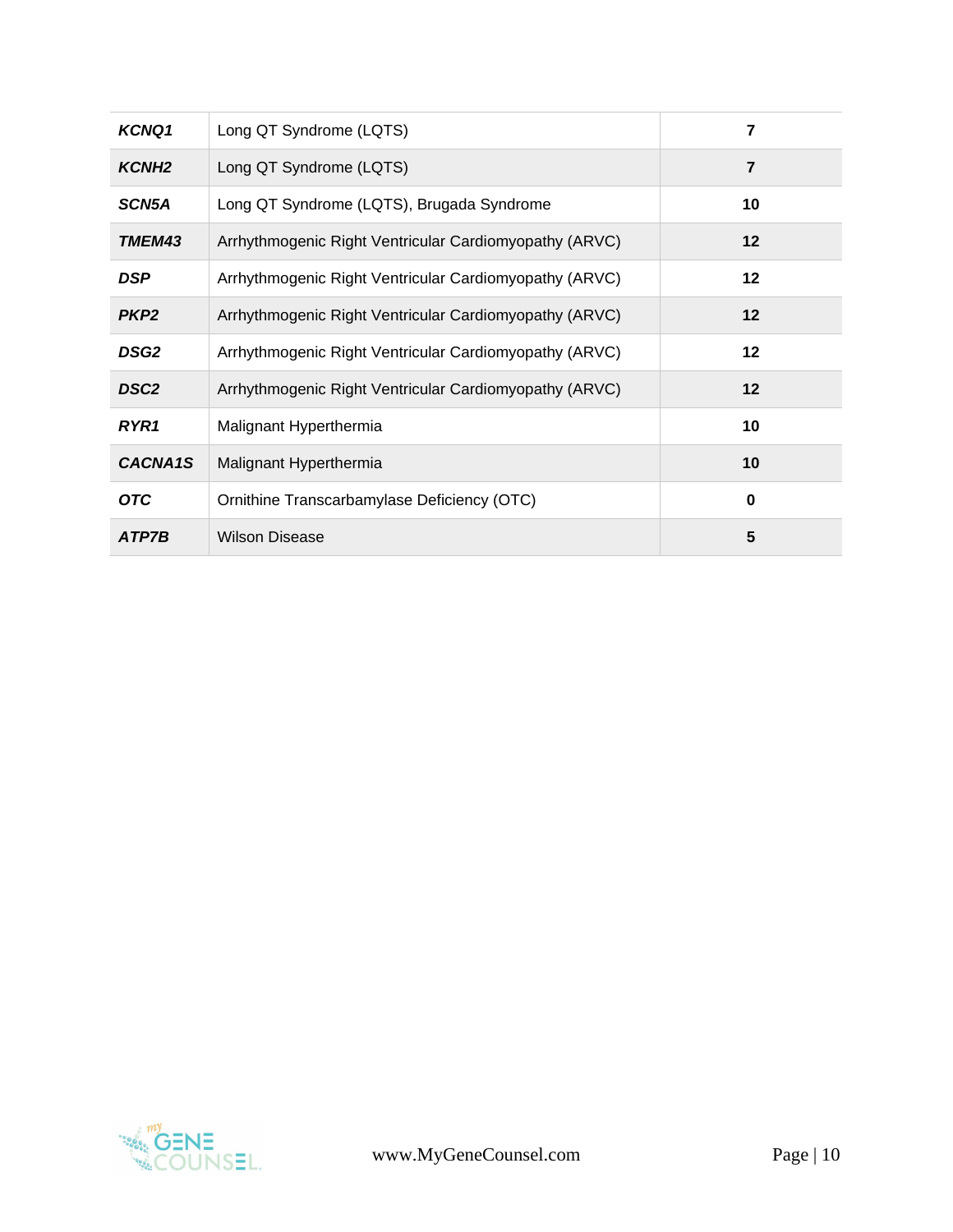| <b>KCNQ1</b>      | Long QT Syndrome (LQTS)                                | 7              |
|-------------------|--------------------------------------------------------|----------------|
| KCNH <sub>2</sub> | Long QT Syndrome (LQTS)                                | $\overline{7}$ |
| SCN5A             | Long QT Syndrome (LQTS), Brugada Syndrome              | 10             |
| <b>TMEM43</b>     | Arrhythmogenic Right Ventricular Cardiomyopathy (ARVC) | 12             |
| <b>DSP</b>        | Arrhythmogenic Right Ventricular Cardiomyopathy (ARVC) | $12 \,$        |
| PKP <sub>2</sub>  | Arrhythmogenic Right Ventricular Cardiomyopathy (ARVC) | 12             |
| <b>DSG2</b>       | Arrhythmogenic Right Ventricular Cardiomyopathy (ARVC) | 12             |
| DSC <sub>2</sub>  | Arrhythmogenic Right Ventricular Cardiomyopathy (ARVC) | 12             |
| RYR1              | Malignant Hyperthermia                                 | 10             |
| CACNA1S           | Malignant Hyperthermia                                 | 10             |
| <b>OTC</b>        | Ornithine Transcarbamylase Deficiency (OTC)            | $\bf{0}$       |
| ATP7B             | <b>Wilson Disease</b>                                  | 5              |

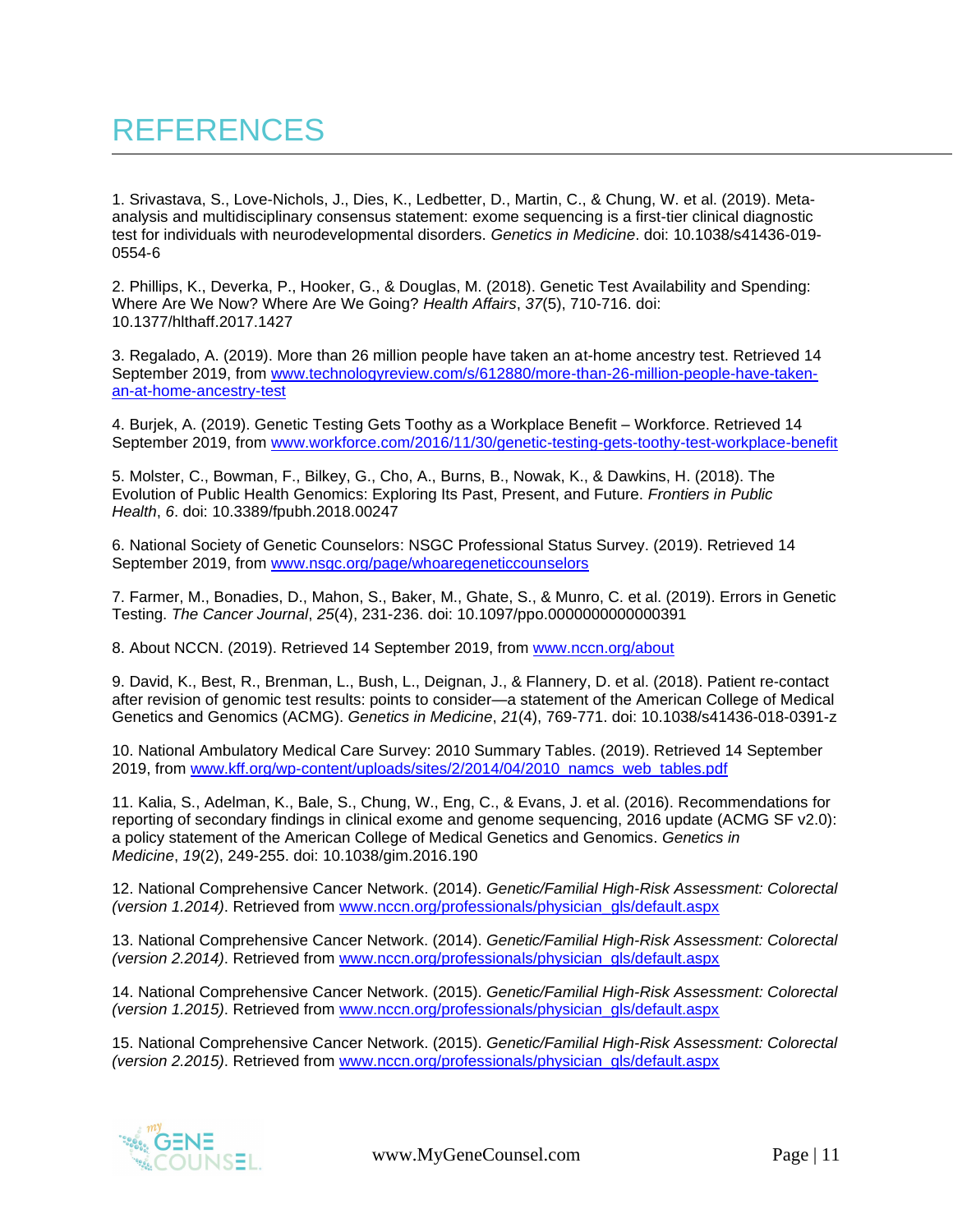1. Srivastava, S., Love-Nichols, J., Dies, K., Ledbetter, D., Martin, C., & Chung, W. et al. (2019). Metaanalysis and multidisciplinary consensus statement: exome sequencing is a first-tier clinical diagnostic test for individuals with neurodevelopmental disorders. *Genetics in Medicine*. doi: 10.1038/s41436-019- 0554-6

2. Phillips, K., Deverka, P., Hooker, G., & Douglas, M. (2018). Genetic Test Availability and Spending: Where Are We Now? Where Are We Going? *Health Affairs*, *37*(5), 710-716. doi: 10.1377/hlthaff.2017.1427

3. Regalado, A. (2019). More than 26 million people have taken an at-home ancestry test. Retrieved 14 September 2019, from [www.technologyreview.com/s/612880/more-than-26-million-people-have-taken](http://www.technologyreview.com/s/612880/more-than-26-million-people-have-taken-an-at-home-ancestry-test)[an-at-home-ancestry-test](http://www.technologyreview.com/s/612880/more-than-26-million-people-have-taken-an-at-home-ancestry-test)

4. Burjek, A. (2019). Genetic Testing Gets Toothy as a Workplace Benefit – Workforce. Retrieved 14 September 2019, from [www.workforce.com/2016/11/30/genetic-testing-gets-toothy-test-workplace-benefit](http://www.workforce.com/2016/11/30/genetic-testing-gets-toothy-test-workplace-benefit)

5. Molster, C., Bowman, F., Bilkey, G., Cho, A., Burns, B., Nowak, K., & Dawkins, H. (2018). The Evolution of Public Health Genomics: Exploring Its Past, Present, and Future. *Frontiers in Public Health*, *6*. doi: 10.3389/fpubh.2018.00247

6. National Society of Genetic Counselors: NSGC Professional Status Survey. (2019). Retrieved 14 September 2019, from [www.nsgc.org/page/whoaregeneticcounselors](http://www.nsgc.org/page/whoaregeneticcounselors)

7. Farmer, M., Bonadies, D., Mahon, S., Baker, M., Ghate, S., & Munro, C. et al. (2019). Errors in Genetic Testing. *The Cancer Journal*, *25*(4), 231-236. doi: 10.1097/ppo.0000000000000391

8. About NCCN. (2019). Retrieved 14 September 2019, from [www.nccn.org/about](http://www.nccn.org/about)

9. David, K., Best, R., Brenman, L., Bush, L., Deignan, J., & Flannery, D. et al. (2018). Patient re-contact after revision of genomic test results: points to consider—a statement of the American College of Medical Genetics and Genomics (ACMG). *Genetics in Medicine*, *21*(4), 769-771. doi: 10.1038/s41436-018-0391-z

10. National Ambulatory Medical Care Survey: 2010 Summary Tables. (2019). Retrieved 14 September 2019, from [www.kff.org/wp-content/uploads/sites/2/2014/04/2010\\_namcs\\_web\\_tables.pdf](http://www.kff.org/wp-content/uploads/sites/2/2014/04/2010_namcs_web_tables.pdf)

11. Kalia, S., Adelman, K., Bale, S., Chung, W., Eng, C., & Evans, J. et al. (2016). Recommendations for reporting of secondary findings in clinical exome and genome sequencing, 2016 update (ACMG SF v2.0): a policy statement of the American College of Medical Genetics and Genomics. *Genetics in Medicine*, *19*(2), 249-255. doi: 10.1038/gim.2016.190

12. National Comprehensive Cancer Network. (2014). *Genetic/Familial High-Risk Assessment: Colorectal (version 1.2014)*. Retrieved from [www.nccn.org/professionals/physician\\_gls/default.aspx](http://www.nccn.org/professionals/physician_gls/default.aspx)

13. National Comprehensive Cancer Network. (2014). *Genetic/Familial High-Risk Assessment: Colorectal (version 2.2014)*. Retrieved from [www.nccn.org/professionals/physician\\_gls/default.aspx](http://www.nccn.org/professionals/physician_gls/default.aspx)

14. National Comprehensive Cancer Network. (2015). *Genetic/Familial High-Risk Assessment: Colorectal (version 1.2015)*. Retrieved from [www.nccn.org/professionals/physician\\_gls/default.aspx](http://www.nccn.org/professionals/physician_gls/default.aspx)

15. National Comprehensive Cancer Network. (2015). *Genetic/Familial High-Risk Assessment: Colorectal (version 2.2015)*. Retrieved from [www.nccn.org/professionals/physician\\_gls/default.aspx](http://www.nccn.org/professionals/physician_gls/default.aspx)

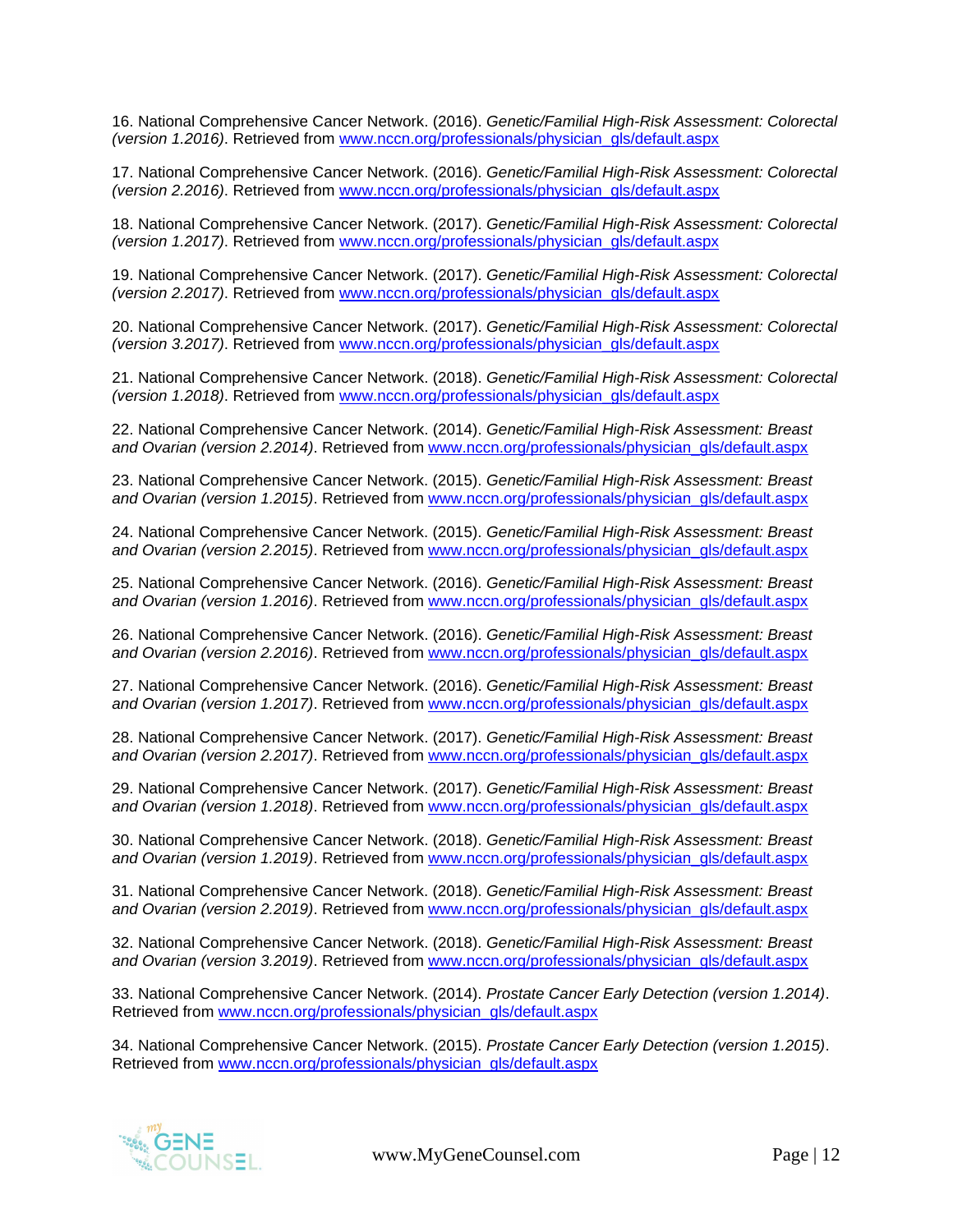16. National Comprehensive Cancer Network. (2016). *Genetic/Familial High-Risk Assessment: Colorectal (version 1.2016)*. Retrieved from [www.nccn.org/professionals/physician\\_gls/default.aspx](http://www.nccn.org/professionals/physician_gls/default.aspx)

17. National Comprehensive Cancer Network. (2016). *Genetic/Familial High-Risk Assessment: Colorectal (version 2.2016)*. Retrieved from [www.nccn.org/professionals/physician\\_gls/default.aspx](http://www.nccn.org/professionals/physician_gls/default.aspx)

18. National Comprehensive Cancer Network. (2017). *Genetic/Familial High-Risk Assessment: Colorectal (version 1.2017)*. Retrieved from [www.nccn.org/professionals/physician\\_gls/default.aspx](http://www.nccn.org/professionals/physician_gls/default.aspx)

19. National Comprehensive Cancer Network. (2017). *Genetic/Familial High-Risk Assessment: Colorectal (version 2.2017)*. Retrieved from [www.nccn.org/professionals/physician\\_gls/default.aspx](http://www.nccn.org/professionals/physician_gls/default.aspx)

20. National Comprehensive Cancer Network. (2017). *Genetic/Familial High-Risk Assessment: Colorectal (version 3.2017)*. Retrieved from [www.nccn.org/professionals/physician\\_gls/default.aspx](http://www.nccn.org/professionals/physician_gls/default.aspx)

21. National Comprehensive Cancer Network. (2018). *Genetic/Familial High-Risk Assessment: Colorectal (version 1.2018)*. Retrieved from [www.nccn.org/professionals/physician\\_gls/default.aspx](http://www.nccn.org/professionals/physician_gls/default.aspx)

22. National Comprehensive Cancer Network. (2014). *Genetic/Familial High-Risk Assessment: Breast and Ovarian (version 2.2014)*. Retrieved from [www.nccn.org/professionals/physician\\_gls/default.aspx](http://www.nccn.org/professionals/physician_gls/default.aspx)

23. National Comprehensive Cancer Network. (2015). *Genetic/Familial High-Risk Assessment: Breast and Ovarian (version 1.2015)*. Retrieved from [www.nccn.org/professionals/physician\\_gls/default.aspx](http://www.nccn.org/professionals/physician_gls/default.aspx)

24. National Comprehensive Cancer Network. (2015). *Genetic/Familial High-Risk Assessment: Breast and Ovarian (version 2.2015)*. Retrieved from [www.nccn.org/professionals/physician\\_gls/default.aspx](http://www.nccn.org/professionals/physician_gls/default.aspx)

25. National Comprehensive Cancer Network. (2016). *Genetic/Familial High-Risk Assessment: Breast and Ovarian (version 1.2016)*. Retrieved from [www.nccn.org/professionals/physician\\_gls/default.aspx](http://www.nccn.org/professionals/physician_gls/default.aspx)

26. National Comprehensive Cancer Network. (2016). *Genetic/Familial High-Risk Assessment: Breast and Ovarian (version 2.2016)*. Retrieved from [www.nccn.org/professionals/physician\\_gls/default.aspx](http://www.nccn.org/professionals/physician_gls/default.aspx)

27. National Comprehensive Cancer Network. (2016). *Genetic/Familial High-Risk Assessment: Breast and Ovarian (version 1.2017)*. Retrieved from [www.nccn.org/professionals/physician\\_gls/default.aspx](http://www.nccn.org/professionals/physician_gls/default.aspx)

28. National Comprehensive Cancer Network. (2017). *Genetic/Familial High-Risk Assessment: Breast and Ovarian (version 2.2017)*. Retrieved from [www.nccn.org/professionals/physician\\_gls/default.aspx](http://www.nccn.org/professionals/physician_gls/default.aspx)

29. National Comprehensive Cancer Network. (2017). *Genetic/Familial High-Risk Assessment: Breast and Ovarian (version 1.2018)*. Retrieved from [www.nccn.org/professionals/physician\\_gls/default.aspx](http://www.nccn.org/professionals/physician_gls/default.aspx)

30. National Comprehensive Cancer Network. (2018). *Genetic/Familial High-Risk Assessment: Breast and Ovarian (version 1.2019)*. Retrieved from [www.nccn.org/professionals/physician\\_gls/default.aspx](http://www.nccn.org/professionals/physician_gls/default.aspx)

31. National Comprehensive Cancer Network. (2018). *Genetic/Familial High-Risk Assessment: Breast and Ovarian (version 2.2019)*. Retrieved from [www.nccn.org/professionals/physician\\_gls/default.aspx](http://www.nccn.org/professionals/physician_gls/default.aspx)

32. National Comprehensive Cancer Network. (2018). *Genetic/Familial High-Risk Assessment: Breast and Ovarian (version 3.2019)*. Retrieved from [www.nccn.org/professionals/physician\\_gls/default.aspx](http://www.nccn.org/professionals/physician_gls/default.aspx)

33. National Comprehensive Cancer Network. (2014). *Prostate Cancer Early Detection (version 1.2014)*. Retrieved from [www.nccn.org/professionals/physician\\_gls/default.aspx](http://www.nccn.org/professionals/physician_gls/default.aspx)

34. National Comprehensive Cancer Network. (2015). *Prostate Cancer Early Detection (version 1.2015)*. Retrieved from [www.nccn.org/professionals/physician\\_gls/default.aspx](http://www.nccn.org/professionals/physician_gls/default.aspx)

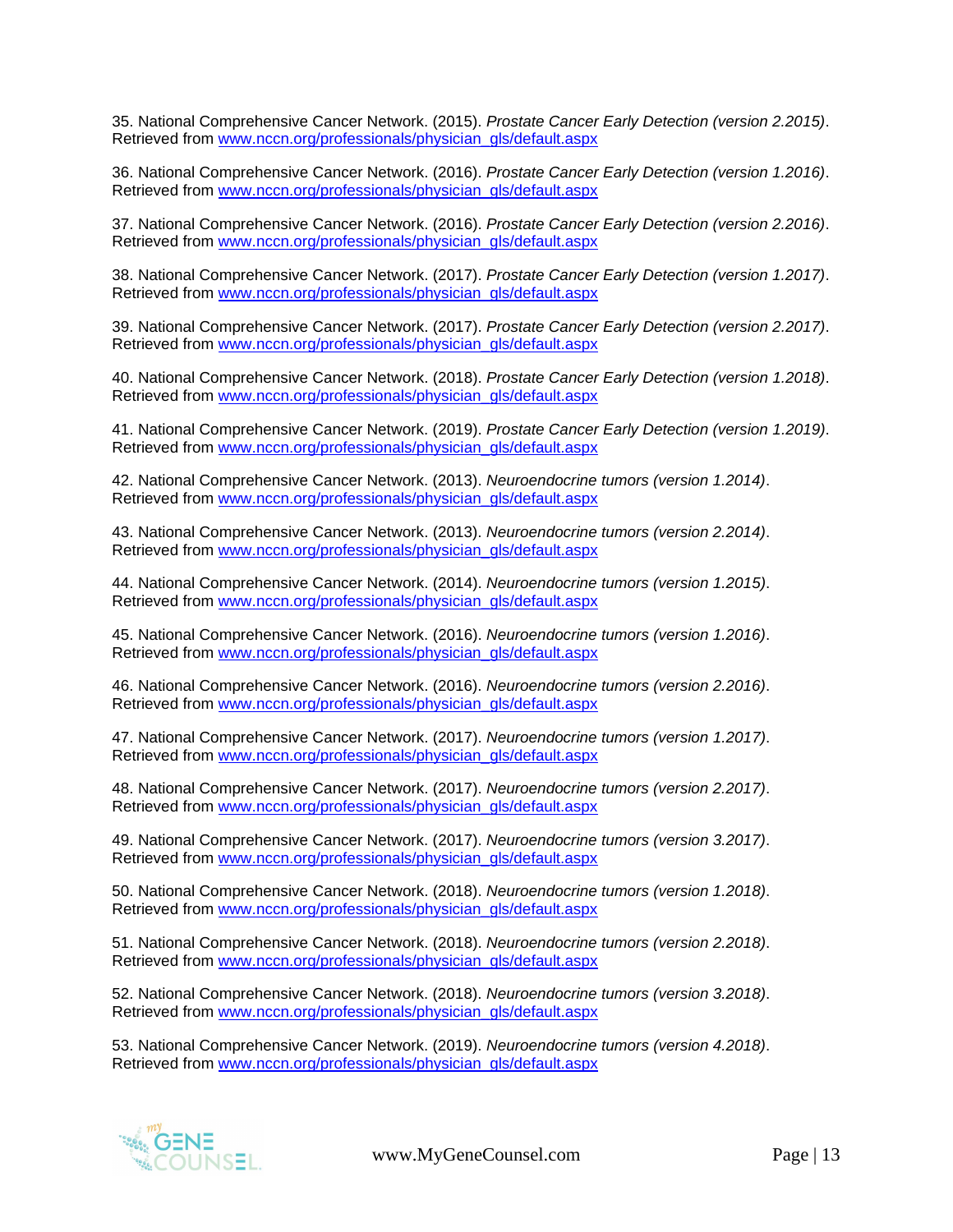35. National Comprehensive Cancer Network. (2015). *Prostate Cancer Early Detection (version 2.2015)*. Retrieved from [www.nccn.org/professionals/physician\\_gls/default.aspx](http://www.nccn.org/professionals/physician_gls/default.aspx)

36. National Comprehensive Cancer Network. (2016). *Prostate Cancer Early Detection (version 1.2016)*. Retrieved from [www.nccn.org/professionals/physician\\_gls/default.aspx](http://www.nccn.org/professionals/physician_gls/default.aspx)

37. National Comprehensive Cancer Network. (2016). *Prostate Cancer Early Detection (version 2.2016)*. Retrieved from [www.nccn.org/professionals/physician\\_gls/default.aspx](http://www.nccn.org/professionals/physician_gls/default.aspx)

38. National Comprehensive Cancer Network. (2017). *Prostate Cancer Early Detection (version 1.2017)*. Retrieved from [www.nccn.org/professionals/physician\\_gls/default.aspx](http://www.nccn.org/professionals/physician_gls/default.aspx)

39. National Comprehensive Cancer Network. (2017). *Prostate Cancer Early Detection (version 2.2017)*. Retrieved from [www.nccn.org/professionals/physician\\_gls/default.aspx](http://www.nccn.org/professionals/physician_gls/default.aspx)

40. National Comprehensive Cancer Network. (2018). *Prostate Cancer Early Detection (version 1.2018)*. Retrieved from [www.nccn.org/professionals/physician\\_gls/default.aspx](http://www.nccn.org/professionals/physician_gls/default.aspx)

41. National Comprehensive Cancer Network. (2019). *Prostate Cancer Early Detection (version 1.2019)*. Retrieved from [www.nccn.org/professionals/physician\\_gls/default.aspx](http://www.nccn.org/professionals/physician_gls/default.aspx)

42. National Comprehensive Cancer Network. (2013). *Neuroendocrine tumors (version 1.2014)*. Retrieved from [www.nccn.org/professionals/physician\\_gls/default.aspx](http://www.nccn.org/professionals/physician_gls/default.aspx)

43. National Comprehensive Cancer Network. (2013). *Neuroendocrine tumors (version 2.2014)*. Retrieved from [www.nccn.org/professionals/physician\\_gls/default.aspx](http://www.nccn.org/professionals/physician_gls/default.aspx)

44. National Comprehensive Cancer Network. (2014). *Neuroendocrine tumors (version 1.2015)*. Retrieved from [www.nccn.org/professionals/physician\\_gls/default.aspx](http://www.nccn.org/professionals/physician_gls/default.aspx)

45. National Comprehensive Cancer Network. (2016). *Neuroendocrine tumors (version 1.2016)*. Retrieved from [www.nccn.org/professionals/physician\\_gls/default.aspx](http://www.nccn.org/professionals/physician_gls/default.aspx)

46. National Comprehensive Cancer Network. (2016). *Neuroendocrine tumors (version 2.2016)*. Retrieved from [www.nccn.org/professionals/physician\\_gls/default.aspx](http://www.nccn.org/professionals/physician_gls/default.aspx)

47. National Comprehensive Cancer Network. (2017). *Neuroendocrine tumors (version 1.2017)*. Retrieved from [www.nccn.org/professionals/physician\\_gls/default.aspx](http://www.nccn.org/professionals/physician_gls/default.aspx)

48. National Comprehensive Cancer Network. (2017). *Neuroendocrine tumors (version 2.2017)*. Retrieved from [www.nccn.org/professionals/physician\\_gls/default.aspx](http://www.nccn.org/professionals/physician_gls/default.aspx)

49. National Comprehensive Cancer Network. (2017). *Neuroendocrine tumors (version 3.2017)*. Retrieved from [www.nccn.org/professionals/physician\\_gls/default.aspx](http://www.nccn.org/professionals/physician_gls/default.aspx)

50. National Comprehensive Cancer Network. (2018). *Neuroendocrine tumors (version 1.2018)*. Retrieved from [www.nccn.org/professionals/physician\\_gls/default.aspx](http://www.nccn.org/professionals/physician_gls/default.aspx)

51. National Comprehensive Cancer Network. (2018). *Neuroendocrine tumors (version 2.2018)*. Retrieved from [www.nccn.org/professionals/physician\\_gls/default.aspx](http://www.nccn.org/professionals/physician_gls/default.aspx)

52. National Comprehensive Cancer Network. (2018). *Neuroendocrine tumors (version 3.2018)*. Retrieved from [www.nccn.org/professionals/physician\\_gls/default.aspx](http://www.nccn.org/professionals/physician_gls/default.aspx)

53. National Comprehensive Cancer Network. (2019). *Neuroendocrine tumors (version 4.2018)*. Retrieved from [www.nccn.org/professionals/physician\\_gls/default.aspx](http://www.nccn.org/professionals/physician_gls/default.aspx)

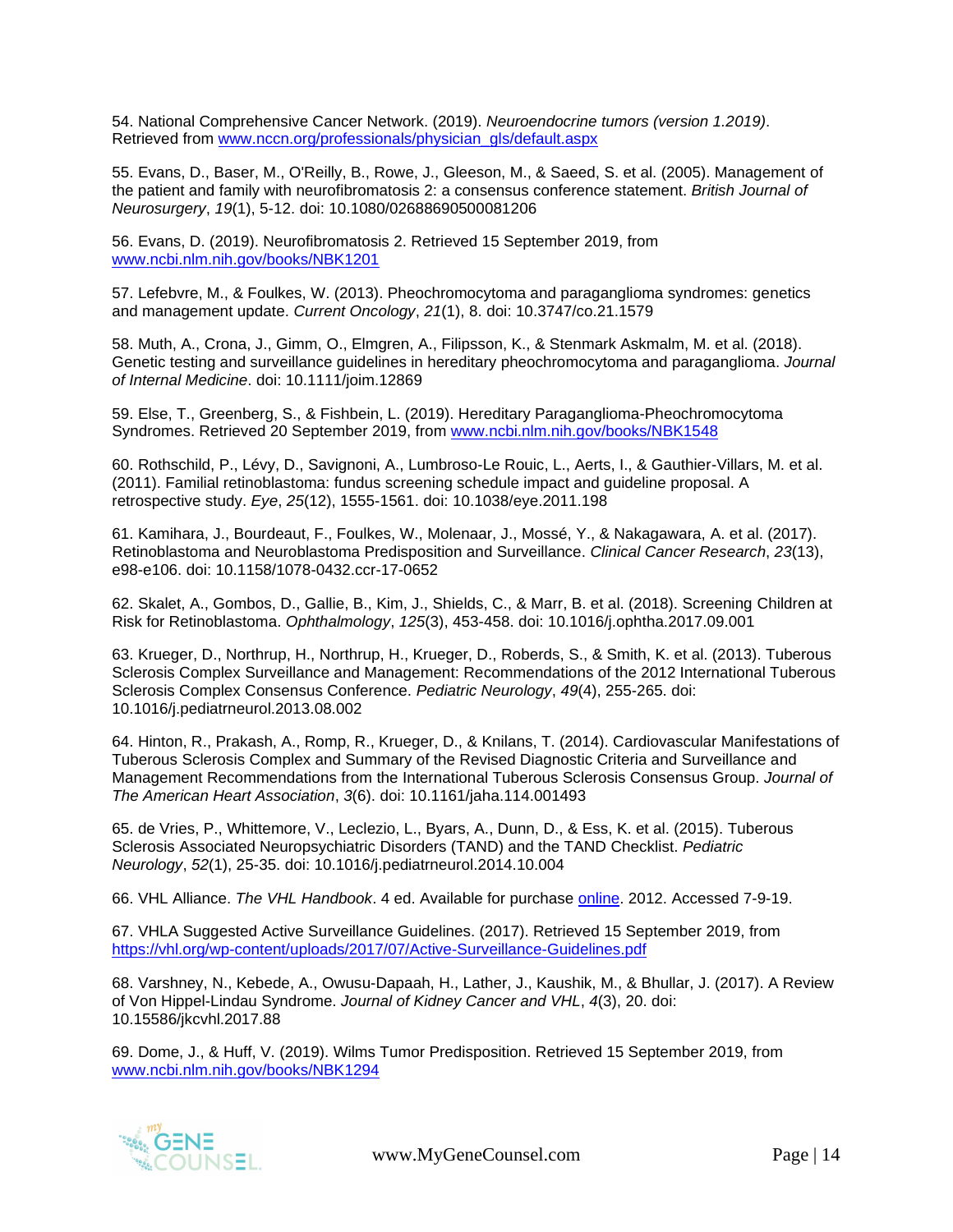54. National Comprehensive Cancer Network. (2019). *Neuroendocrine tumors (version 1.2019)*. Retrieved from [www.nccn.org/professionals/physician\\_gls/default.aspx](http://www.nccn.org/professionals/physician_gls/default.aspx)

55. Evans, D., Baser, M., O'Reilly, B., Rowe, J., Gleeson, M., & Saeed, S. et al. (2005). Management of the patient and family with neurofibromatosis 2: a consensus conference statement. *British Journal of Neurosurgery*, *19*(1), 5-12. doi: 10.1080/02688690500081206

56. Evans, D. (2019). Neurofibromatosis 2. Retrieved 15 September 2019, from [www.ncbi.nlm.nih.gov/books/NBK1201](http://www.ncbi.nlm.nih.gov/books/NBK1201)

57. Lefebvre, M., & Foulkes, W. (2013). Pheochromocytoma and paraganglioma syndromes: genetics and management update. *Current Oncology*, *21*(1), 8. doi: 10.3747/co.21.1579

58. Muth, A., Crona, J., Gimm, O., Elmgren, A., Filipsson, K., & Stenmark Askmalm, M. et al. (2018). Genetic testing and surveillance guidelines in hereditary pheochromocytoma and paraganglioma. *Journal of Internal Medicine*. doi: 10.1111/joim.12869

59. Else, T., Greenberg, S., & Fishbein, L. (2019). Hereditary Paraganglioma-Pheochromocytoma Syndromes. Retrieved 20 September 2019, from [www.ncbi.nlm.nih.gov/books/NBK1548](http://www.ncbi.nlm.nih.gov/books/NBK1548)

60. Rothschild, P., Lévy, D., Savignoni, A., Lumbroso-Le Rouic, L., Aerts, I., & Gauthier-Villars, M. et al. (2011). Familial retinoblastoma: fundus screening schedule impact and guideline proposal. A retrospective study. *Eye*, *25*(12), 1555-1561. doi: 10.1038/eye.2011.198

61. Kamihara, J., Bourdeaut, F., Foulkes, W., Molenaar, J., Mossé, Y., & Nakagawara, A. et al. (2017). Retinoblastoma and Neuroblastoma Predisposition and Surveillance. *Clinical Cancer Research*, *23*(13), e98-e106. doi: 10.1158/1078-0432.ccr-17-0652

62. Skalet, A., Gombos, D., Gallie, B., Kim, J., Shields, C., & Marr, B. et al. (2018). Screening Children at Risk for Retinoblastoma. *Ophthalmology*, *125*(3), 453-458. doi: 10.1016/j.ophtha.2017.09.001

63. Krueger, D., Northrup, H., Northrup, H., Krueger, D., Roberds, S., & Smith, K. et al. (2013). Tuberous Sclerosis Complex Surveillance and Management: Recommendations of the 2012 International Tuberous Sclerosis Complex Consensus Conference. *Pediatric Neurology*, *49*(4), 255-265. doi: 10.1016/j.pediatrneurol.2013.08.002

64. Hinton, R., Prakash, A., Romp, R., Krueger, D., & Knilans, T. (2014). Cardiovascular Manifestations of Tuberous Sclerosis Complex and Summary of the Revised Diagnostic Criteria and Surveillance and Management Recommendations from the International Tuberous Sclerosis Consensus Group. *Journal of The American Heart Association*, *3*(6). doi: 10.1161/jaha.114.001493

65. de Vries, P., Whittemore, V., Leclezio, L., Byars, A., Dunn, D., & Ess, K. et al. (2015). Tuberous Sclerosis Associated Neuropsychiatric Disorders (TAND) and the TAND Checklist. *Pediatric Neurology*, *52*(1), 25-35. doi: 10.1016/j.pediatrneurol.2014.10.004

66. VHL Alliance. *The VHL Handbook*. 4 ed. Available for purchase [online.](http://vhl.org/vhla-store/) 2012. Accessed 7-9-19.

67. VHLA Suggested Active Surveillance Guidelines. (2017). Retrieved 15 September 2019, from <https://vhl.org/wp-content/uploads/2017/07/Active-Surveillance-Guidelines.pdf>

68. Varshney, N., Kebede, A., Owusu-Dapaah, H., Lather, J., Kaushik, M., & Bhullar, J. (2017). A Review of Von Hippel-Lindau Syndrome. *Journal of Kidney Cancer and VHL*, *4*(3), 20. doi: 10.15586/jkcvhl.2017.88

69. Dome, J., & Huff, V. (2019). Wilms Tumor Predisposition. Retrieved 15 September 2019, from [www.ncbi.nlm.nih.gov/books/NBK1294](http://www.ncbi.nlm.nih.gov/books/NBK1294)



[www.MyGeneCounsel.com](http://www.mygenecounsel.com/) Page | 14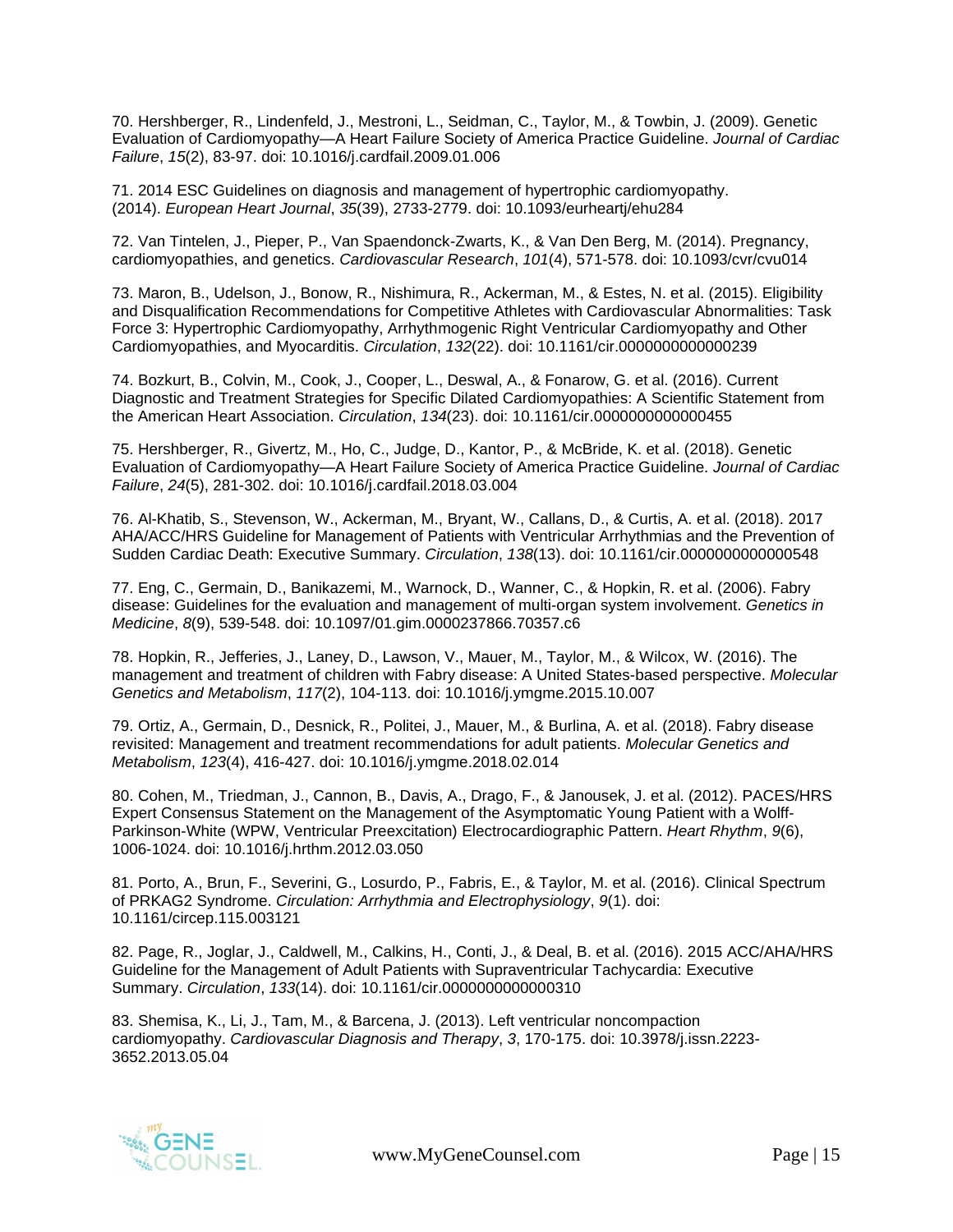70. Hershberger, R., Lindenfeld, J., Mestroni, L., Seidman, C., Taylor, M., & Towbin, J. (2009). Genetic Evaluation of Cardiomyopathy—A Heart Failure Society of America Practice Guideline. *Journal of Cardiac Failure*, *15*(2), 83-97. doi: 10.1016/j.cardfail.2009.01.006

71. 2014 ESC Guidelines on diagnosis and management of hypertrophic cardiomyopathy. (2014). *European Heart Journal*, *35*(39), 2733-2779. doi: 10.1093/eurheartj/ehu284

72. Van Tintelen, J., Pieper, P., Van Spaendonck-Zwarts, K., & Van Den Berg, M. (2014). Pregnancy, cardiomyopathies, and genetics. *Cardiovascular Research*, *101*(4), 571-578. doi: 10.1093/cvr/cvu014

73. Maron, B., Udelson, J., Bonow, R., Nishimura, R., Ackerman, M., & Estes, N. et al. (2015). Eligibility and Disqualification Recommendations for Competitive Athletes with Cardiovascular Abnormalities: Task Force 3: Hypertrophic Cardiomyopathy, Arrhythmogenic Right Ventricular Cardiomyopathy and Other Cardiomyopathies, and Myocarditis. *Circulation*, *132*(22). doi: 10.1161/cir.0000000000000239

74. Bozkurt, B., Colvin, M., Cook, J., Cooper, L., Deswal, A., & Fonarow, G. et al. (2016). Current Diagnostic and Treatment Strategies for Specific Dilated Cardiomyopathies: A Scientific Statement from the American Heart Association. *Circulation*, *134*(23). doi: 10.1161/cir.0000000000000455

75. Hershberger, R., Givertz, M., Ho, C., Judge, D., Kantor, P., & McBride, K. et al. (2018). Genetic Evaluation of Cardiomyopathy—A Heart Failure Society of America Practice Guideline. *Journal of Cardiac Failure*, *24*(5), 281-302. doi: 10.1016/j.cardfail.2018.03.004

76. Al-Khatib, S., Stevenson, W., Ackerman, M., Bryant, W., Callans, D., & Curtis, A. et al. (2018). 2017 AHA/ACC/HRS Guideline for Management of Patients with Ventricular Arrhythmias and the Prevention of Sudden Cardiac Death: Executive Summary. *Circulation*, *138*(13). doi: 10.1161/cir.0000000000000548

77. Eng, C., Germain, D., Banikazemi, M., Warnock, D., Wanner, C., & Hopkin, R. et al. (2006). Fabry disease: Guidelines for the evaluation and management of multi-organ system involvement. *Genetics in Medicine*, *8*(9), 539-548. doi: 10.1097/01.gim.0000237866.70357.c6

78. Hopkin, R., Jefferies, J., Laney, D., Lawson, V., Mauer, M., Taylor, M., & Wilcox, W. (2016). The management and treatment of children with Fabry disease: A United States-based perspective. *Molecular Genetics and Metabolism*, *117*(2), 104-113. doi: 10.1016/j.ymgme.2015.10.007

79. Ortiz, A., Germain, D., Desnick, R., Politei, J., Mauer, M., & Burlina, A. et al. (2018). Fabry disease revisited: Management and treatment recommendations for adult patients. *Molecular Genetics and Metabolism*, *123*(4), 416-427. doi: 10.1016/j.ymgme.2018.02.014

80. Cohen, M., Triedman, J., Cannon, B., Davis, A., Drago, F., & Janousek, J. et al. (2012). PACES/HRS Expert Consensus Statement on the Management of the Asymptomatic Young Patient with a Wolff-Parkinson-White (WPW, Ventricular Preexcitation) Electrocardiographic Pattern. *Heart Rhythm*, *9*(6), 1006-1024. doi: 10.1016/j.hrthm.2012.03.050

81. Porto, A., Brun, F., Severini, G., Losurdo, P., Fabris, E., & Taylor, M. et al. (2016). Clinical Spectrum of PRKAG2 Syndrome. *Circulation: Arrhythmia and Electrophysiology*, *9*(1). doi: 10.1161/circep.115.003121

82. Page, R., Joglar, J., Caldwell, M., Calkins, H., Conti, J., & Deal, B. et al. (2016). 2015 ACC/AHA/HRS Guideline for the Management of Adult Patients with Supraventricular Tachycardia: Executive Summary. *Circulation*, *133*(14). doi: 10.1161/cir.0000000000000310

83. Shemisa, K., Li, J., Tam, M., & Barcena, J. (2013). Left ventricular noncompaction cardiomyopathy. *Cardiovascular Diagnosis and Therapy*, *3*, 170-175. doi: 10.3978/j.issn.2223- 3652.2013.05.04

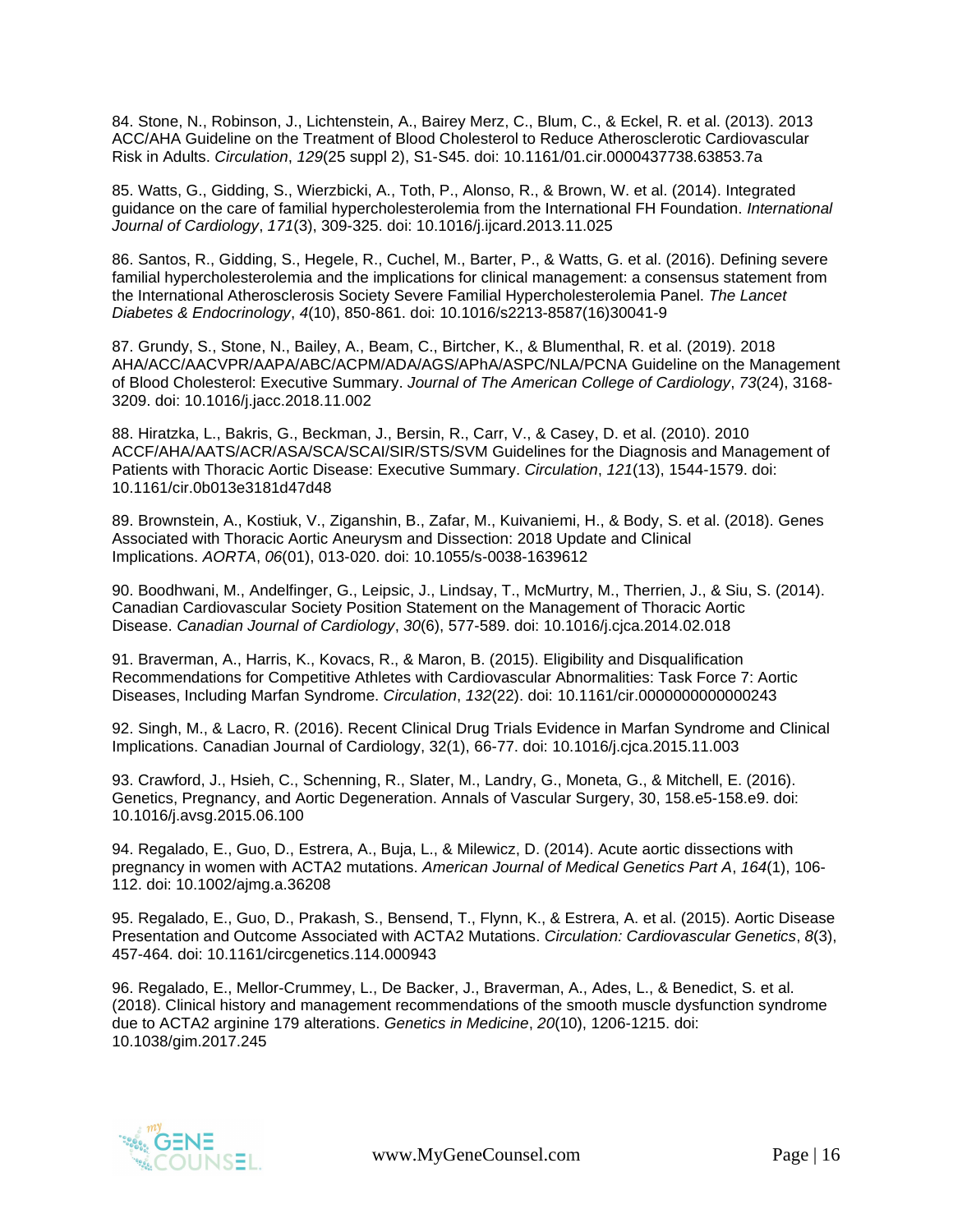84. Stone, N., Robinson, J., Lichtenstein, A., Bairey Merz, C., Blum, C., & Eckel, R. et al. (2013). 2013 ACC/AHA Guideline on the Treatment of Blood Cholesterol to Reduce Atherosclerotic Cardiovascular Risk in Adults. *Circulation*, *129*(25 suppl 2), S1-S45. doi: 10.1161/01.cir.0000437738.63853.7a

85. Watts, G., Gidding, S., Wierzbicki, A., Toth, P., Alonso, R., & Brown, W. et al. (2014). Integrated guidance on the care of familial hypercholesterolemia from the International FH Foundation. *International Journal of Cardiology*, *171*(3), 309-325. doi: 10.1016/j.ijcard.2013.11.025

86. Santos, R., Gidding, S., Hegele, R., Cuchel, M., Barter, P., & Watts, G. et al. (2016). Defining severe familial hypercholesterolemia and the implications for clinical management: a consensus statement from the International Atherosclerosis Society Severe Familial Hypercholesterolemia Panel. *The Lancet Diabetes & Endocrinology*, *4*(10), 850-861. doi: 10.1016/s2213-8587(16)30041-9

87. Grundy, S., Stone, N., Bailey, A., Beam, C., Birtcher, K., & Blumenthal, R. et al. (2019). 2018 AHA/ACC/AACVPR/AAPA/ABC/ACPM/ADA/AGS/APhA/ASPC/NLA/PCNA Guideline on the Management of Blood Cholesterol: Executive Summary. *Journal of The American College of Cardiology*, *73*(24), 3168- 3209. doi: 10.1016/j.jacc.2018.11.002

88. Hiratzka, L., Bakris, G., Beckman, J., Bersin, R., Carr, V., & Casey, D. et al. (2010). 2010 ACCF/AHA/AATS/ACR/ASA/SCA/SCAI/SIR/STS/SVM Guidelines for the Diagnosis and Management of Patients with Thoracic Aortic Disease: Executive Summary. *Circulation*, *121*(13), 1544-1579. doi: 10.1161/cir.0b013e3181d47d48

89. Brownstein, A., Kostiuk, V., Ziganshin, B., Zafar, M., Kuivaniemi, H., & Body, S. et al. (2018). Genes Associated with Thoracic Aortic Aneurysm and Dissection: 2018 Update and Clinical Implications. *AORTA*, *06*(01), 013-020. doi: 10.1055/s-0038-1639612

90. Boodhwani, M., Andelfinger, G., Leipsic, J., Lindsay, T., McMurtry, M., Therrien, J., & Siu, S. (2014). Canadian Cardiovascular Society Position Statement on the Management of Thoracic Aortic Disease. *Canadian Journal of Cardiology*, *30*(6), 577-589. doi: 10.1016/j.cjca.2014.02.018

91. Braverman, A., Harris, K., Kovacs, R., & Maron, B. (2015). Eligibility and Disqualification Recommendations for Competitive Athletes with Cardiovascular Abnormalities: Task Force 7: Aortic Diseases, Including Marfan Syndrome. *Circulation*, *132*(22). doi: 10.1161/cir.0000000000000243

92. Singh, M., & Lacro, R. (2016). Recent Clinical Drug Trials Evidence in Marfan Syndrome and Clinical Implications. Canadian Journal of Cardiology, 32(1), 66-77. doi: 10.1016/j.cjca.2015.11.003

93. Crawford, J., Hsieh, C., Schenning, R., Slater, M., Landry, G., Moneta, G., & Mitchell, E. (2016). Genetics, Pregnancy, and Aortic Degeneration. Annals of Vascular Surgery, 30, 158.e5-158.e9. doi: 10.1016/j.avsg.2015.06.100

94. Regalado, E., Guo, D., Estrera, A., Buja, L., & Milewicz, D. (2014). Acute aortic dissections with pregnancy in women with ACTA2 mutations. *American Journal of Medical Genetics Part A*, *164*(1), 106- 112. doi: 10.1002/ajmg.a.36208

95. Regalado, E., Guo, D., Prakash, S., Bensend, T., Flynn, K., & Estrera, A. et al. (2015). Aortic Disease Presentation and Outcome Associated with ACTA2 Mutations. *Circulation: Cardiovascular Genetics*, *8*(3), 457-464. doi: 10.1161/circgenetics.114.000943

96. Regalado, E., Mellor-Crummey, L., De Backer, J., Braverman, A., Ades, L., & Benedict, S. et al. (2018). Clinical history and management recommendations of the smooth muscle dysfunction syndrome due to ACTA2 arginine 179 alterations. *Genetics in Medicine*, *20*(10), 1206-1215. doi: 10.1038/gim.2017.245

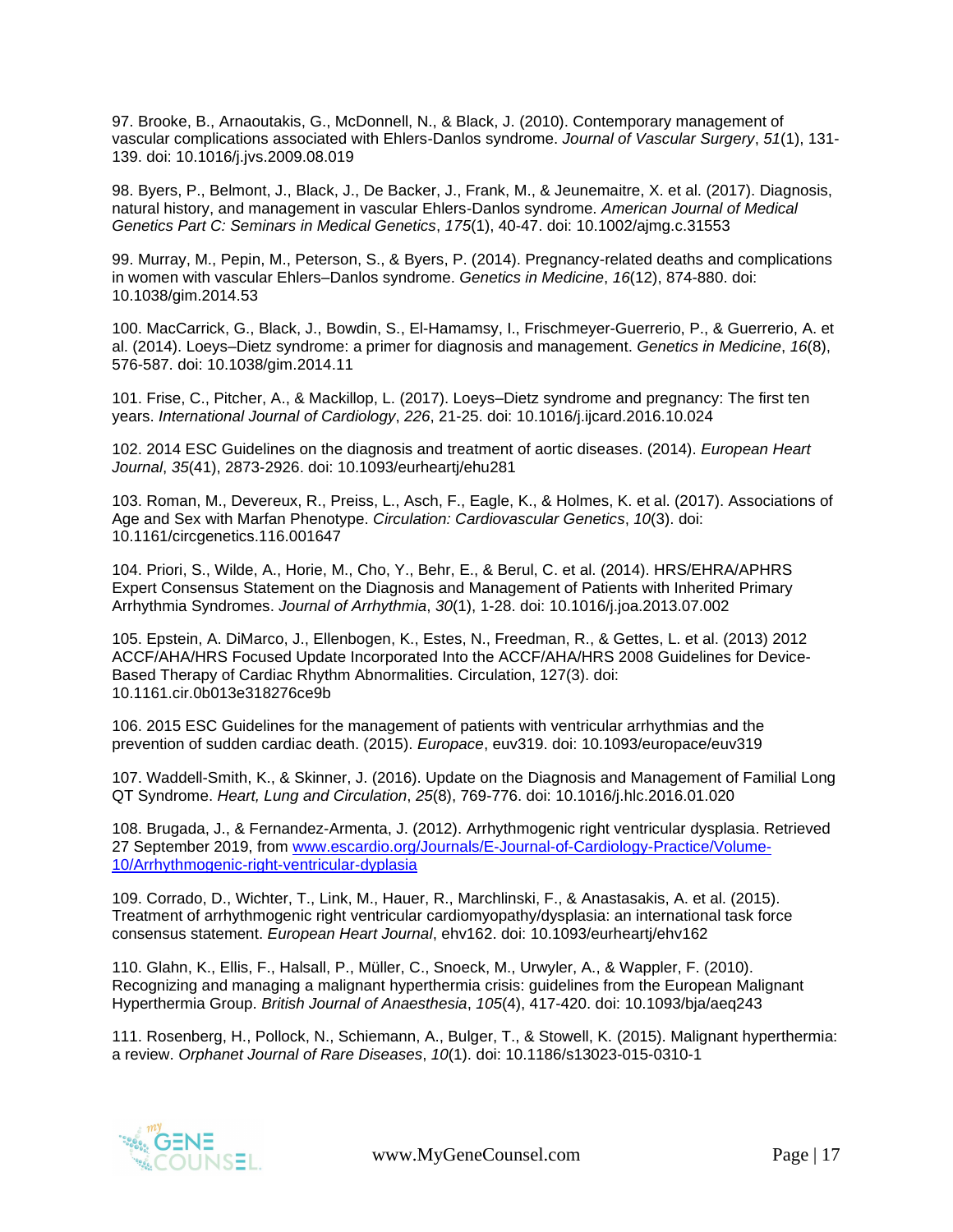97. Brooke, B., Arnaoutakis, G., McDonnell, N., & Black, J. (2010). Contemporary management of vascular complications associated with Ehlers-Danlos syndrome. *Journal of Vascular Surgery*, *51*(1), 131- 139. doi: 10.1016/j.jvs.2009.08.019

98. Byers, P., Belmont, J., Black, J., De Backer, J., Frank, M., & Jeunemaitre, X. et al. (2017). Diagnosis, natural history, and management in vascular Ehlers-Danlos syndrome. *American Journal of Medical Genetics Part C: Seminars in Medical Genetics*, *175*(1), 40-47. doi: 10.1002/ajmg.c.31553

99. Murray, M., Pepin, M., Peterson, S., & Byers, P. (2014). Pregnancy-related deaths and complications in women with vascular Ehlers–Danlos syndrome. *Genetics in Medicine*, *16*(12), 874-880. doi: 10.1038/gim.2014.53

100. MacCarrick, G., Black, J., Bowdin, S., El-Hamamsy, I., Frischmeyer-Guerrerio, P., & Guerrerio, A. et al. (2014). Loeys–Dietz syndrome: a primer for diagnosis and management. *Genetics in Medicine*, *16*(8), 576-587. doi: 10.1038/gim.2014.11

101. Frise, C., Pitcher, A., & Mackillop, L. (2017). Loeys–Dietz syndrome and pregnancy: The first ten years. *International Journal of Cardiology*, *226*, 21-25. doi: 10.1016/j.ijcard.2016.10.024

102. 2014 ESC Guidelines on the diagnosis and treatment of aortic diseases. (2014). *European Heart Journal*, *35*(41), 2873-2926. doi: 10.1093/eurheartj/ehu281

103. Roman, M., Devereux, R., Preiss, L., Asch, F., Eagle, K., & Holmes, K. et al. (2017). Associations of Age and Sex with Marfan Phenotype. *Circulation: Cardiovascular Genetics*, *10*(3). doi: 10.1161/circgenetics.116.001647

104. Priori, S., Wilde, A., Horie, M., Cho, Y., Behr, E., & Berul, C. et al. (2014). HRS/EHRA/APHRS Expert Consensus Statement on the Diagnosis and Management of Patients with Inherited Primary Arrhythmia Syndromes. *Journal of Arrhythmia*, *30*(1), 1-28. doi: 10.1016/j.joa.2013.07.002

105. Epstein, A. DiMarco, J., Ellenbogen, K., Estes, N., Freedman, R., & Gettes, L. et al. (2013) 2012 ACCF/AHA/HRS Focused Update Incorporated Into the ACCF/AHA/HRS 2008 Guidelines for Device-Based Therapy of Cardiac Rhythm Abnormalities. Circulation, 127(3). doi: 10.1161.cir.0b013e318276ce9b

106. 2015 ESC Guidelines for the management of patients with ventricular arrhythmias and the prevention of sudden cardiac death. (2015). *Europace*, euv319. doi: 10.1093/europace/euv319

107. Waddell-Smith, K., & Skinner, J. (2016). Update on the Diagnosis and Management of Familial Long QT Syndrome. *Heart, Lung and Circulation*, *25*(8), 769-776. doi: 10.1016/j.hlc.2016.01.020

108. Brugada, J., & Fernandez-Armenta, J. (2012). Arrhythmogenic right ventricular dysplasia. Retrieved 27 September 2019, from [www.escardio.org/Journals/E-Journal-of-Cardiology-Practice/Volume-](http://www.escardio.org/Journals/E-Journal-of-Cardiology-Practice/Volume-10/Arrhythmogenic-right-ventricular-dyplasia)[10/Arrhythmogenic-right-ventricular-dyplasia](http://www.escardio.org/Journals/E-Journal-of-Cardiology-Practice/Volume-10/Arrhythmogenic-right-ventricular-dyplasia)

109. Corrado, D., Wichter, T., Link, M., Hauer, R., Marchlinski, F., & Anastasakis, A. et al. (2015). Treatment of arrhythmogenic right ventricular cardiomyopathy/dysplasia: an international task force consensus statement. *European Heart Journal*, ehv162. doi: 10.1093/eurheartj/ehv162

110. Glahn, K., Ellis, F., Halsall, P., Müller, C., Snoeck, M., Urwyler, A., & Wappler, F. (2010). Recognizing and managing a malignant hyperthermia crisis: guidelines from the European Malignant Hyperthermia Group. *British Journal of Anaesthesia*, *105*(4), 417-420. doi: 10.1093/bja/aeq243

111. Rosenberg, H., Pollock, N., Schiemann, A., Bulger, T., & Stowell, K. (2015). Malignant hyperthermia: a review. *Orphanet Journal of Rare Diseases*, *10*(1). doi: 10.1186/s13023-015-0310-1